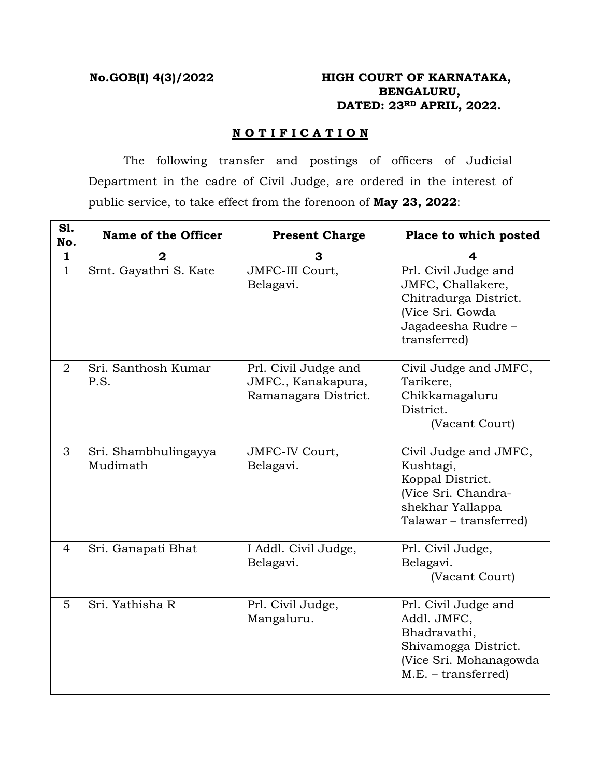# **No.GOB(I) 4(3)/2022 HIGH COURT OF KARNATAKA, BENGALURU, DATED: 23RD APRIL, 2022.**

## **N O T I F I C A T I O N**

 The following transfer and postings of officers of Judicial Department in the cadre of Civil Judge, are ordered in the interest of public service, to take effect from the forenoon of **May 23, 2022**:

| S1.<br>No.     | Name of the Officer              | <b>Present Charge</b>                                              | Place to which posted                                                                                                          |
|----------------|----------------------------------|--------------------------------------------------------------------|--------------------------------------------------------------------------------------------------------------------------------|
| 1              |                                  | З                                                                  | 4                                                                                                                              |
| $\mathbf{1}$   | Smt. Gayathri S. Kate            | JMFC-III Court,<br>Belagavi.                                       | Prl. Civil Judge and<br>JMFC, Challakere,<br>Chitradurga District.<br>(Vice Sri. Gowda<br>Jagadeesha Rudre -<br>transferred)   |
| $\overline{2}$ | Sri. Santhosh Kumar<br>P.S.      | Prl. Civil Judge and<br>JMFC., Kanakapura,<br>Ramanagara District. | Civil Judge and JMFC,<br>Tarikere,<br>Chikkamagaluru<br>District.<br>(Vacant Court)                                            |
| 3              | Sri. Shambhulingayya<br>Mudimath | JMFC-IV Court,<br>Belagavi.                                        | Civil Judge and JMFC,<br>Kushtagi,<br>Koppal District.<br>(Vice Sri. Chandra-<br>shekhar Yallappa<br>Talawar - transferred)    |
| 4              | Sri. Ganapati Bhat               | I Addl. Civil Judge,<br>Belagavi.                                  | Prl. Civil Judge,<br>Belagavi.<br>(Vacant Court)                                                                               |
| 5              | Sri. Yathisha R                  | Prl. Civil Judge,<br>Mangaluru.                                    | Prl. Civil Judge and<br>Addl. JMFC,<br>Bhadravathi,<br>Shivamogga District.<br>(Vice Sri. Mohanagowda<br>$M.E. - transferred)$ |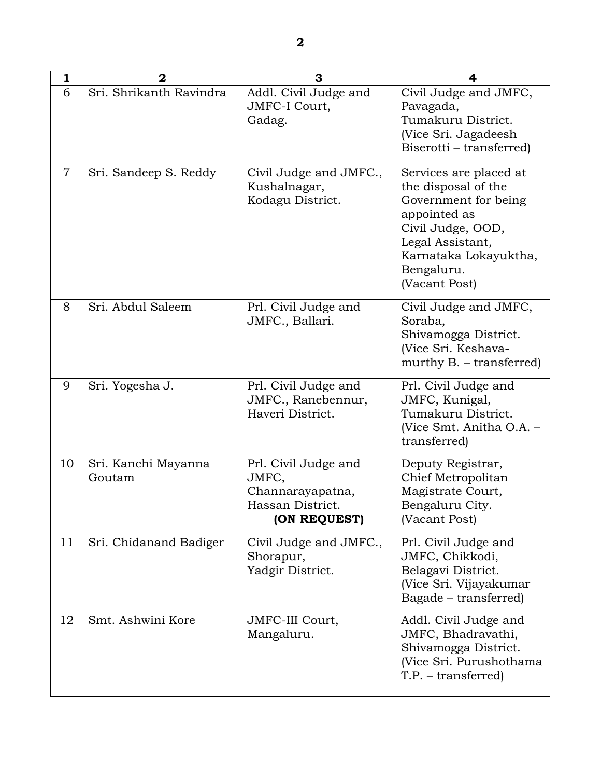| 1              | $\mathbf 2$                   | 3                                                                                     | 4                                                                                                                                                                                      |
|----------------|-------------------------------|---------------------------------------------------------------------------------------|----------------------------------------------------------------------------------------------------------------------------------------------------------------------------------------|
| 6              | Sri. Shrikanth Ravindra       | Addl. Civil Judge and<br>JMFC-I Court,<br>Gadag.                                      | Civil Judge and JMFC,<br>Pavagada,<br>Tumakuru District.<br>(Vice Sri. Jagadeesh<br>Biserotti - transferred)                                                                           |
| $\overline{7}$ | Sri. Sandeep S. Reddy         | Civil Judge and JMFC.,<br>Kushalnagar,<br>Kodagu District.                            | Services are placed at<br>the disposal of the<br>Government for being<br>appointed as<br>Civil Judge, OOD,<br>Legal Assistant,<br>Karnataka Lokayuktha,<br>Bengaluru.<br>(Vacant Post) |
| 8              | Sri. Abdul Saleem             | Prl. Civil Judge and<br>JMFC., Ballari.                                               | Civil Judge and JMFC,<br>Soraba,<br>Shivamogga District.<br>(Vice Sri. Keshava-<br>murthy $B. -$ transferred)                                                                          |
| 9              | Sri. Yogesha J.               | Prl. Civil Judge and<br>JMFC., Ranebennur,<br>Haveri District.                        | Prl. Civil Judge and<br>JMFC, Kunigal,<br>Tumakuru District.<br>(Vice Smt. Anitha O.A. -<br>transferred)                                                                               |
| 10             | Sri. Kanchi Mayanna<br>Goutam | Prl. Civil Judge and<br>JMFC,<br>Channarayapatna,<br>Hassan District.<br>(ON REQUEST) | Deputy Registrar,<br>Chief Metropolitan<br>Magistrate Court,<br>Bengaluru City.<br>(Vacant Post)                                                                                       |
| 11             | Sri. Chidanand Badiger        | Civil Judge and JMFC.,<br>Shorapur,<br>Yadgir District.                               | Prl. Civil Judge and<br>JMFC, Chikkodi,<br>Belagavi District.<br>(Vice Sri. Vijayakumar<br>Bagade – transferred)                                                                       |
| 12             | Smt. Ashwini Kore             | JMFC-III Court,<br>Mangaluru.                                                         | Addl. Civil Judge and<br>JMFC, Bhadravathi,<br>Shivamogga District.<br>(Vice Sri. Purushothama<br>$T.P. - transferred)$                                                                |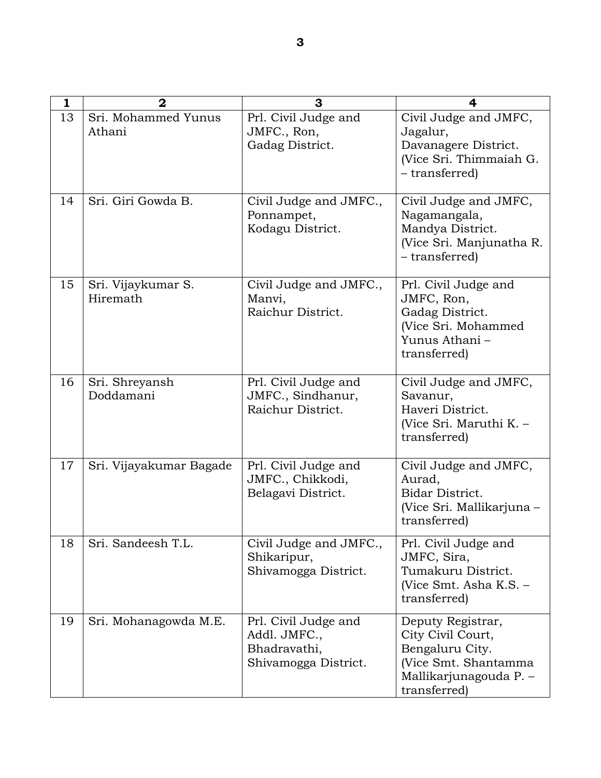| 1  | $\mathbf{2}$                   | 3                                                                            | 4                                                                                                                            |
|----|--------------------------------|------------------------------------------------------------------------------|------------------------------------------------------------------------------------------------------------------------------|
| 13 | Sri. Mohammed Yunus<br>Athani  | Prl. Civil Judge and<br>JMFC., Ron,<br>Gadag District.                       | Civil Judge and JMFC,<br>Jagalur,<br>Davanagere District.<br>(Vice Sri. Thimmaiah G.<br>- transferred)                       |
| 14 | Sri. Giri Gowda B.             | Civil Judge and JMFC.,<br>Ponnampet,<br>Kodagu District.                     | Civil Judge and JMFC,<br>Nagamangala,<br>Mandya District.<br>(Vice Sri. Manjunatha R.<br>- transferred)                      |
| 15 | Sri. Vijaykumar S.<br>Hiremath | Civil Judge and JMFC.,<br>Manvi,<br>Raichur District.                        | Prl. Civil Judge and<br>JMFC, Ron,<br>Gadag District.<br>(Vice Sri. Mohammed<br>Yunus Athani -<br>transferred)               |
| 16 | Sri. Shreyansh<br>Doddamani    | Prl. Civil Judge and<br>JMFC., Sindhanur,<br>Raichur District.               | Civil Judge and JMFC,<br>Savanur,<br>Haveri District.<br>(Vice Sri. Maruthi K. -<br>transferred)                             |
| 17 | Sri. Vijayakumar Bagade        | Prl. Civil Judge and<br>JMFC., Chikkodi,<br>Belagavi District.               | Civil Judge and JMFC,<br>Aurad,<br>Bidar District.<br>(Vice Sri. Mallikarjuna -<br>transferred)                              |
| 18 | Sri. Sandeesh T.L.             | Civil Judge and JMFC.,<br>Shikaripur,<br>Shivamogga District.                | Prl. Civil Judge and<br>JMFC, Sira,<br>Tumakuru District.<br>(Vice Smt. Asha K.S. -<br>transferred)                          |
| 19 | Sri. Mohanagowda M.E.          | Prl. Civil Judge and<br>Addl. JMFC.,<br>Bhadravathi,<br>Shivamogga District. | Deputy Registrar,<br>City Civil Court,<br>Bengaluru City.<br>(Vice Smt. Shantamma)<br>Mallikarjunagouda P. -<br>transferred) |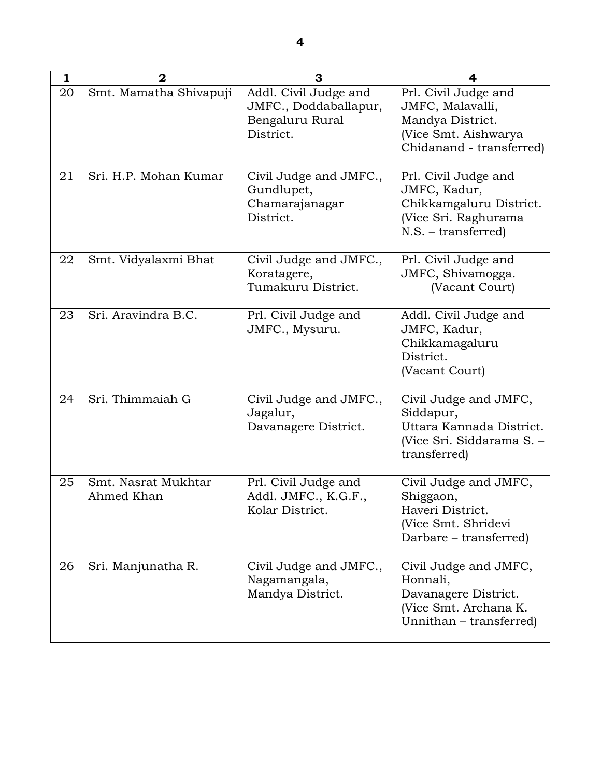| 1  | $\overline{2}$                    | 3                                                                              | 4                                                                                                                |
|----|-----------------------------------|--------------------------------------------------------------------------------|------------------------------------------------------------------------------------------------------------------|
| 20 | Smt. Mamatha Shivapuji            | Addl. Civil Judge and<br>JMFC., Doddaballapur,<br>Bengaluru Rural<br>District. | Prl. Civil Judge and<br>JMFC, Malavalli,<br>Mandya District.<br>(Vice Smt. Aishwarya<br>Chidanand - transferred) |
| 21 | Sri. H.P. Mohan Kumar             | Civil Judge and JMFC.,<br>Gundlupet,<br>Chamarajanagar<br>District.            | Prl. Civil Judge and<br>JMFC, Kadur,<br>Chikkamgaluru District.<br>(Vice Sri. Raghurama<br>$N.S.$ – transferred) |
| 22 | Smt. Vidyalaxmi Bhat              | Civil Judge and JMFC.,<br>Koratagere,<br>Tumakuru District.                    | Prl. Civil Judge and<br>JMFC, Shivamogga.<br>(Vacant Court)                                                      |
| 23 | Sri. Aravindra B.C.               | Prl. Civil Judge and<br>JMFC., Mysuru.                                         | Addl. Civil Judge and<br>JMFC, Kadur,<br>Chikkamagaluru<br>District.<br>(Vacant Court)                           |
| 24 | Sri. Thimmaiah G                  | Civil Judge and JMFC.,<br>Jagalur,<br>Davanagere District.                     | Civil Judge and JMFC,<br>Siddapur,<br>Uttara Kannada District.<br>(Vice Sri. Siddarama S. -<br>transferred)      |
| 25 | Smt. Nasrat Mukhtar<br>Ahmed Khan | Prl. Civil Judge and<br>Addl. JMFC., K.G.F.,<br>Kolar District.                | Civil Judge and JMFC,<br>Shiggaon,<br>Haveri District.<br>(Vice Smt. Shridevi<br>Darbare – transferred)          |
| 26 | Sri. Manjunatha R.                | Civil Judge and JMFC.,<br>Nagamangala,<br>Mandya District.                     | Civil Judge and JMFC,<br>Honnali,<br>Davanagere District.<br>(Vice Smt. Archana K.<br>Unnithan – transferred)    |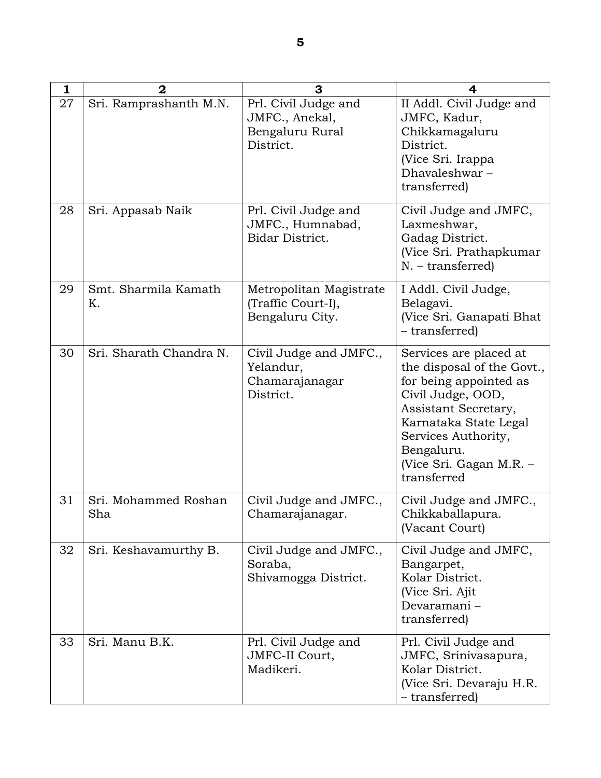| 1  | $\mathbf{2}$                | 3                                                                      | 4                                                                                                                                                                                                                                   |
|----|-----------------------------|------------------------------------------------------------------------|-------------------------------------------------------------------------------------------------------------------------------------------------------------------------------------------------------------------------------------|
| 27 | Sri. Ramprashanth M.N.      | Prl. Civil Judge and<br>JMFC., Anekal,<br>Bengaluru Rural<br>District. | II Addl. Civil Judge and<br>JMFC, Kadur,<br>Chikkamagaluru<br>District.<br>(Vice Sri. Irappa<br>Dhavaleshwar-<br>transferred)                                                                                                       |
| 28 | Sri. Appasab Naik           | Prl. Civil Judge and<br>JMFC., Humnabad,<br>Bidar District.            | Civil Judge and JMFC,<br>Laxmeshwar,<br>Gadag District.<br>(Vice Sri. Prathapkumar<br>$N. - transferred)$                                                                                                                           |
| 29 | Smt. Sharmila Kamath<br>Κ.  | Metropolitan Magistrate<br>(Traffic Court-I),<br>Bengaluru City.       | I Addl. Civil Judge,<br>Belagavi.<br>(Vice Sri. Ganapati Bhat<br>- transferred)                                                                                                                                                     |
| 30 | Sri. Sharath Chandra N.     | Civil Judge and JMFC.,<br>Yelandur,<br>Chamarajanagar<br>District.     | Services are placed at<br>the disposal of the Govt.,<br>for being appointed as<br>Civil Judge, OOD,<br>Assistant Secretary,<br>Karnataka State Legal<br>Services Authority,<br>Bengaluru.<br>(Vice Sri. Gagan M.R. –<br>transferred |
| 31 | Sri. Mohammed Roshan<br>Sha | Civil Judge and JMFC.,<br>Chamarajanagar.                              | Civil Judge and JMFC.,<br>Chikkaballapura.<br>(Vacant Court)                                                                                                                                                                        |
| 32 | Sri. Keshavamurthy B.       | Civil Judge and JMFC.,<br>Soraba,<br>Shivamogga District.              | Civil Judge and JMFC,<br>Bangarpet,<br>Kolar District.<br>(Vice Sri. Ajit<br>Devaramani-<br>transferred)                                                                                                                            |
| 33 | Sri. Manu B.K.              | Prl. Civil Judge and<br>JMFC-II Court,<br>Madikeri.                    | Prl. Civil Judge and<br>JMFC, Srinivasapura,<br>Kolar District.<br>(Vice Sri. Devaraju H.R.<br>- transferred)                                                                                                                       |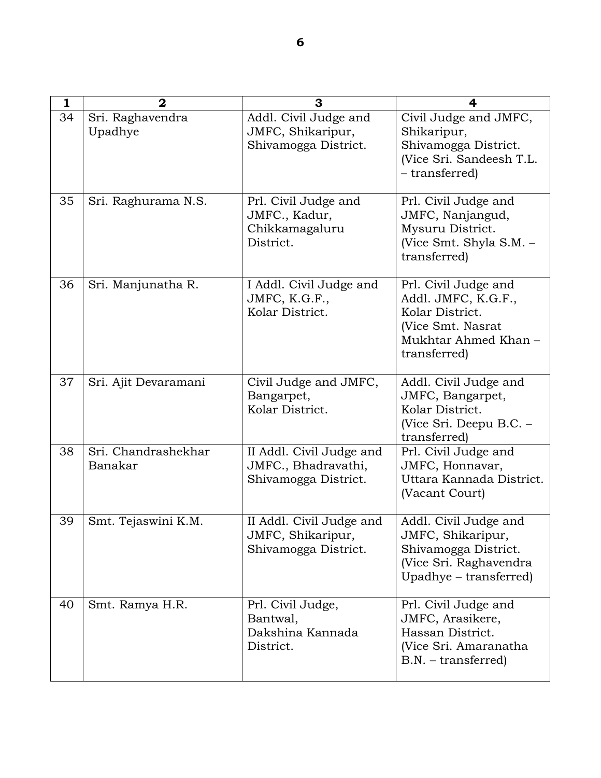| 1  | $\mathbf{2}$                   | 3                                                                       | 4                                                                                                                          |
|----|--------------------------------|-------------------------------------------------------------------------|----------------------------------------------------------------------------------------------------------------------------|
| 34 | Sri. Raghavendra<br>Upadhye    | Addl. Civil Judge and<br>JMFC, Shikaripur,<br>Shivamogga District.      | Civil Judge and JMFC,<br>Shikaripur,<br>Shivamogga District.<br>(Vice Sri. Sandeesh T.L.<br>- transferred)                 |
| 35 | Sri. Raghurama N.S.            | Prl. Civil Judge and<br>JMFC., Kadur,<br>Chikkamagaluru<br>District.    | Prl. Civil Judge and<br>JMFC, Nanjangud,<br>Mysuru District.<br>(Vice Smt. Shyla S.M. -<br>transferred)                    |
| 36 | Sri. Manjunatha R.             | I Addl. Civil Judge and<br>JMFC, K.G.F.,<br>Kolar District.             | Prl. Civil Judge and<br>Addl. JMFC, K.G.F.,<br>Kolar District.<br>(Vice Smt. Nasrat<br>Mukhtar Ahmed Khan-<br>transferred) |
| 37 | Sri. Ajit Devaramani           | Civil Judge and JMFC,<br>Bangarpet,<br>Kolar District.                  | Addl. Civil Judge and<br>JMFC, Bangarpet,<br>Kolar District.<br>(Vice Sri. Deepu B.C. -<br>transferred)                    |
| 38 | Sri. Chandrashekhar<br>Banakar | II Addl. Civil Judge and<br>JMFC., Bhadravathi,<br>Shivamogga District. | Prl. Civil Judge and<br>JMFC, Honnavar,<br>Uttara Kannada District.<br>(Vacant Court)                                      |
| 39 | Smt. Tejaswini K.M.            | II Addl. Civil Judge and<br>JMFC, Shikaripur,<br>Shivamogga District.   | Addl. Civil Judge and<br>JMFC, Shikaripur,<br>Shivamogga District.<br>(Vice Sri. Raghavendra<br>Upadhye – transferred)     |
| 40 | Smt. Ramya H.R.                | Prl. Civil Judge,<br>Bantwal,<br>Dakshina Kannada<br>District.          | Prl. Civil Judge and<br>JMFC, Arasikere,<br>Hassan District.<br>(Vice Sri. Amaranatha<br>$B.N. - transferred)$             |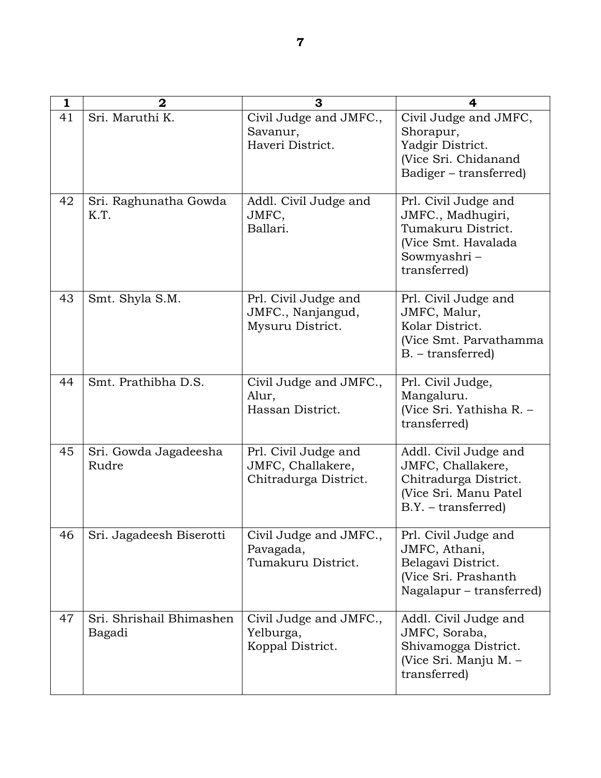| 1  | $\mathbf 2$                        | 3                                                                  | 4                                                                                                                      |
|----|------------------------------------|--------------------------------------------------------------------|------------------------------------------------------------------------------------------------------------------------|
| 41 | Sri. Maruthi K.                    | Civil Judge and JMFC.,<br>Savanur,<br>Haveri District.             | Civil Judge and JMFC,<br>Shorapur,<br>Yadgir District.<br>(Vice Sri. Chidanand<br>Badiger – transferred)               |
| 42 | Sri. Raghunatha Gowda<br>K.T.      | Addl. Civil Judge and<br>JMFC,<br>Ballari.                         | Prl. Civil Judge and<br>JMFC., Madhugiri,<br>Tumakuru District.<br>(Vice Smt. Havalada<br>Sowmyashri -<br>transferred) |
| 43 | Smt. Shyla S.M.                    | Prl. Civil Judge and<br>JMFC., Nanjangud,<br>Mysuru District.      | Prl. Civil Judge and<br>JMFC, Malur,<br>Kolar District.<br>(Vice Smt. Parvathamma<br>$B. - transferred)$               |
| 44 | Smt. Prathibha D.S.                | Civil Judge and JMFC.,<br>Alur,<br>Hassan District.                | Prl. Civil Judge,<br>Mangaluru.<br>(Vice Sri. Yathisha R. -<br>transferred)                                            |
| 45 | Sri. Gowda Jagadeesha<br>Rudre     | Prl. Civil Judge and<br>JMFC, Challakere,<br>Chitradurga District. | Addl. Civil Judge and<br>JMFC, Challakere,<br>Chitradurga District.<br>(Vice Sri. Manu Patel<br>$B.Y. - transferred)$  |
| 46 | Sri. Jagadeesh Biserotti           | Civil Judge and JMFC.,<br>Pavagada,<br>Tumakuru District.          | Prl. Civil Judge and<br>JMFC, Athani,<br>Belagavi District.<br>(Vice Sri. Prashanth<br>Nagalapur – transferred)        |
| 47 | Sri. Shrishail Bhimashen<br>Bagadi | Civil Judge and JMFC.,<br>Yelburga,<br>Koppal District.            | Addl. Civil Judge and<br>JMFC, Soraba,<br>Shivamogga District.<br>(Vice Sri. Manju M. -<br>transferred)                |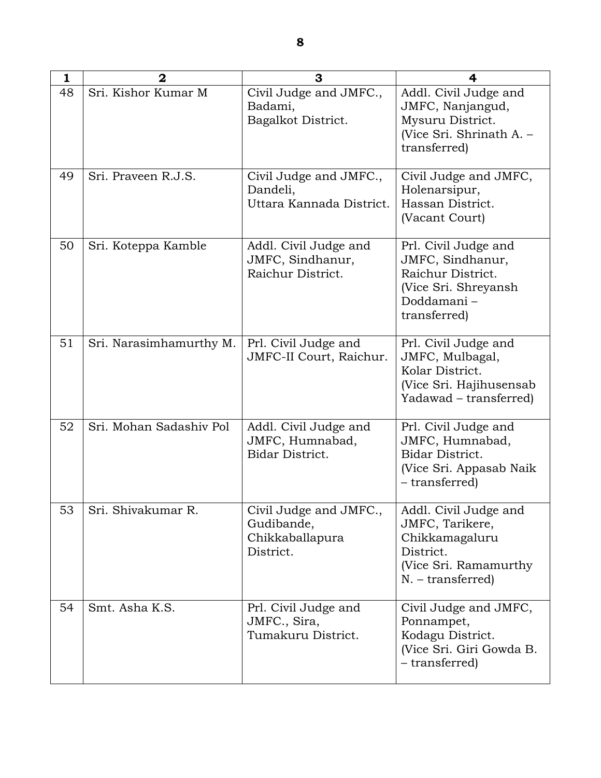| $\mathbf{1}$ | $\mathbf{2}$            | 3                                                                    | 4                                                                                                                       |
|--------------|-------------------------|----------------------------------------------------------------------|-------------------------------------------------------------------------------------------------------------------------|
| 48           | Sri. Kishor Kumar M     | Civil Judge and JMFC.,<br>Badami,<br>Bagalkot District.              | Addl. Civil Judge and<br>JMFC, Nanjangud,<br>Mysuru District.<br>(Vice Sri. Shrinath A. -<br>transferred)               |
| 49           | Sri. Praveen R.J.S.     | Civil Judge and JMFC.,<br>Dandeli,<br>Uttara Kannada District.       | Civil Judge and JMFC,<br>Holenarsipur,<br>Hassan District.<br>(Vacant Court)                                            |
| 50           | Sri. Koteppa Kamble     | Addl. Civil Judge and<br>JMFC, Sindhanur,<br>Raichur District.       | Prl. Civil Judge and<br>JMFC, Sindhanur,<br>Raichur District.<br>(Vice Sri. Shreyansh<br>Doddamani-<br>transferred)     |
| 51           | Sri. Narasimhamurthy M. | Prl. Civil Judge and<br>JMFC-II Court, Raichur.                      | Prl. Civil Judge and<br>JMFC, Mulbagal,<br>Kolar District.<br>(Vice Sri. Hajihusensab<br>Yadawad – transferred)         |
| 52           | Sri. Mohan Sadashiv Pol | Addl. Civil Judge and<br>JMFC, Humnabad,<br>Bidar District.          | Prl. Civil Judge and<br>JMFC, Humnabad,<br>Bidar District.<br>(Vice Sri. Appasab Naik<br>– transferred)                 |
| 53           | Sri. Shivakumar R.      | Civil Judge and JMFC.,<br>Gudibande,<br>Chikkaballapura<br>District. | Addl. Civil Judge and<br>JMFC, Tarikere,<br>Chikkamagaluru<br>District.<br>(Vice Sri. Ramamurthy<br>$N. - transferred)$ |
| 54           | Smt. Asha K.S.          | Prl. Civil Judge and<br>JMFC., Sira,<br>Tumakuru District.           | Civil Judge and JMFC,<br>Ponnampet,<br>Kodagu District.<br>(Vice Sri. Giri Gowda B.<br>- transferred)                   |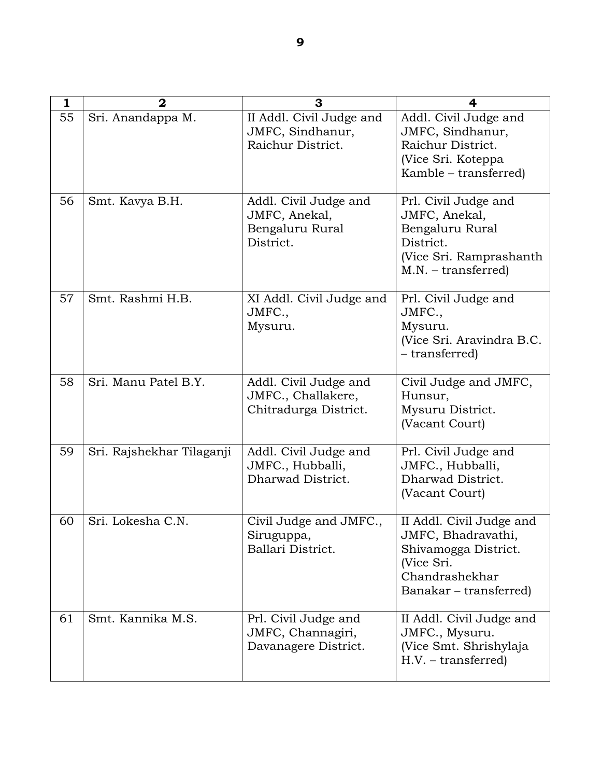| 1  | $\mathbf 2$               | 3                                                                      | 4                                                                                                                                |
|----|---------------------------|------------------------------------------------------------------------|----------------------------------------------------------------------------------------------------------------------------------|
| 55 | Sri. Anandappa M.         | II Addl. Civil Judge and<br>JMFC, Sindhanur,<br>Raichur District.      | Addl. Civil Judge and<br>JMFC, Sindhanur,<br>Raichur District.<br>(Vice Sri. Koteppa<br>Kamble – transferred)                    |
| 56 | Smt. Kavya B.H.           | Addl. Civil Judge and<br>JMFC, Anekal,<br>Bengaluru Rural<br>District. | Prl. Civil Judge and<br>JMFC, Anekal,<br>Bengaluru Rural<br>District.<br>(Vice Sri. Ramprashanth<br>$M.N. - transferred)$        |
| 57 | Smt. Rashmi H.B.          | XI Addl. Civil Judge and<br>JMFC.,<br>Mysuru.                          | Prl. Civil Judge and<br>JMFC.,<br>Mysuru.<br>(Vice Sri. Aravindra B.C.<br>– transferred)                                         |
| 58 | Sri. Manu Patel B.Y.      | Addl. Civil Judge and<br>JMFC., Challakere,<br>Chitradurga District.   | Civil Judge and JMFC,<br>Hunsur,<br>Mysuru District.<br>(Vacant Court)                                                           |
| 59 | Sri. Rajshekhar Tilaganji | Addl. Civil Judge and<br>JMFC., Hubballi,<br>Dharwad District.         | Prl. Civil Judge and<br>JMFC., Hubballi,<br>Dharwad District.<br>(Vacant Court)                                                  |
| 60 | Sri. Lokesha C.N.         | Civil Judge and JMFC.,<br>Siruguppa,<br>Ballari District.              | II Addl. Civil Judge and<br>JMFC, Bhadravathi,<br>Shivamogga District.<br>(Vice Sri.<br>Chandrashekhar<br>Banakar – transferred) |
| 61 | Smt. Kannika M.S.         | Prl. Civil Judge and<br>JMFC, Channagiri,<br>Davanagere District.      | II Addl. Civil Judge and<br>JMFC., Mysuru.<br>(Vice Smt. Shrishylaja<br>$H.V. - transferred)$                                    |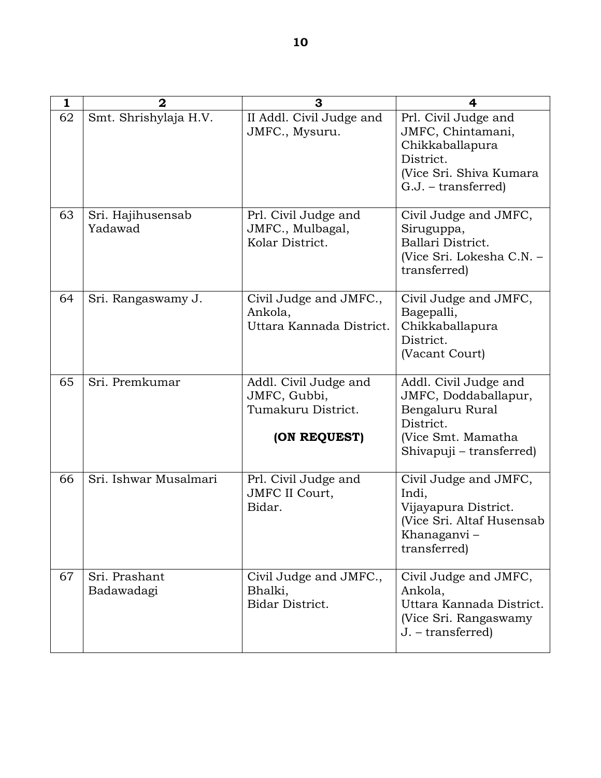| $\mathbf{1}$ | $\mathbf{2}$                 | 3                                                                           | 4                                                                                                                               |
|--------------|------------------------------|-----------------------------------------------------------------------------|---------------------------------------------------------------------------------------------------------------------------------|
| 62           | Smt. Shrishylaja H.V.        | II Addl. Civil Judge and<br>JMFC., Mysuru.                                  | Prl. Civil Judge and<br>JMFC, Chintamani,<br>Chikkaballapura<br>District.<br>(Vice Sri. Shiva Kumara<br>$G.J. - transferred)$   |
| 63           | Sri. Hajihusensab<br>Yadawad | Prl. Civil Judge and<br>JMFC., Mulbagal,<br>Kolar District.                 | Civil Judge and JMFC,<br>Siruguppa,<br>Ballari District.<br>(Vice Sri. Lokesha C.N. -<br>transferred)                           |
| 64           | Sri. Rangaswamy J.           | Civil Judge and JMFC.,<br>Ankola,<br>Uttara Kannada District.               | Civil Judge and JMFC,<br>Bagepalli,<br>Chikkaballapura<br>District.<br>(Vacant Court)                                           |
| 65           | Sri. Premkumar               | Addl. Civil Judge and<br>JMFC, Gubbi,<br>Tumakuru District.<br>(ON REQUEST) | Addl. Civil Judge and<br>JMFC, Doddaballapur,<br>Bengaluru Rural<br>District.<br>(Vice Smt. Mamatha<br>Shivapuji – transferred) |
| 66           | Sri. Ishwar Musalmari        | Prl. Civil Judge and<br><b>JMFC II Court,</b><br>Bidar.                     | Civil Judge and JMFC,<br>Indi,<br>Vijayapura District.<br>(Vice Sri. Altaf Husensab<br>Khanaganvi -<br>transferred)             |
| 67           | Sri. Prashant<br>Badawadagi  | Civil Judge and JMFC.,<br>Bhalki,<br>Bidar District.                        | Civil Judge and JMFC,<br>Ankola,<br>Uttara Kannada District.<br>(Vice Sri. Rangaswamy<br>J. - transferred)                      |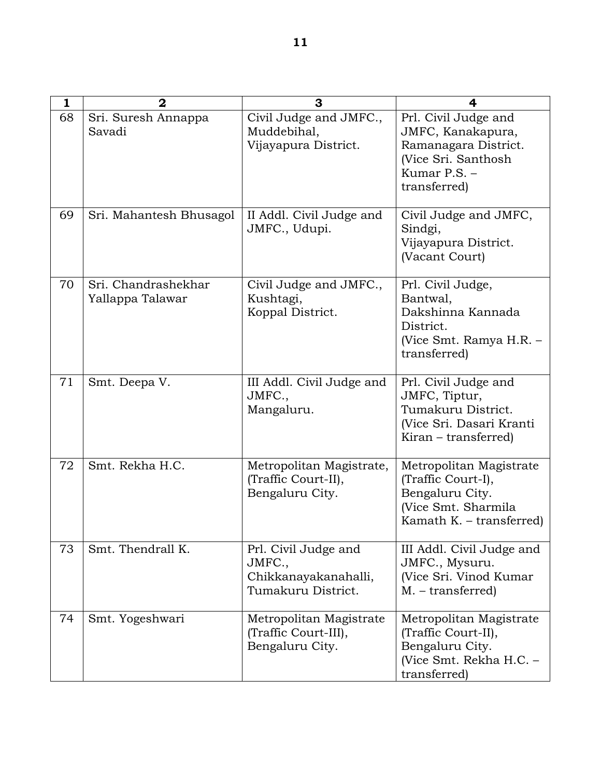| 1  | $\overline{2}$                          | 3                                                                            | 4                                                                                                                        |
|----|-----------------------------------------|------------------------------------------------------------------------------|--------------------------------------------------------------------------------------------------------------------------|
| 68 | Sri. Suresh Annappa<br>Savadi           | Civil Judge and JMFC.,<br>Muddebihal,<br>Vijayapura District.                | Prl. Civil Judge and<br>JMFC, Kanakapura,<br>Ramanagara District.<br>(Vice Sri. Santhosh<br>Kumar P.S. -<br>transferred) |
| 69 | Sri. Mahantesh Bhusagol                 | II Addl. Civil Judge and<br>JMFC., Udupi.                                    | Civil Judge and JMFC,<br>Sindgi,<br>Vijayapura District.<br>(Vacant Court)                                               |
| 70 | Sri. Chandrashekhar<br>Yallappa Talawar | Civil Judge and JMFC.,<br>Kushtagi,<br>Koppal District.                      | Prl. Civil Judge,<br>Bantwal,<br>Dakshinna Kannada<br>District.<br>(Vice Smt. Ramya H.R. –<br>transferred)               |
| 71 | Smt. Deepa V.                           | III Addl. Civil Judge and<br>JMFC.,<br>Mangaluru.                            | Prl. Civil Judge and<br>JMFC, Tiptur,<br>Tumakuru District.<br>(Vice Sri. Dasari Kranti<br>Kiran – transferred)          |
| 72 | Smt. Rekha H.C.                         | Metropolitan Magistrate,<br>(Traffic Court-II),<br>Bengaluru City.           | Metropolitan Magistrate<br>(Traffic Court-I),<br>Bengaluru City.<br>(Vice Smt. Sharmila<br>Kamath K. – transferred)      |
| 73 | Smt. Thendrall K.                       | Prl. Civil Judge and<br>JMFC.,<br>Chikkanayakanahalli,<br>Tumakuru District. | III Addl. Civil Judge and<br>JMFC., Mysuru.<br>(Vice Sri. Vinod Kumar<br>$M. - transferred)$                             |
| 74 | Smt. Yogeshwari                         | Metropolitan Magistrate<br>(Traffic Court-III),<br>Bengaluru City.           | Metropolitan Magistrate<br>(Traffic Court-II),<br>Bengaluru City.<br>(Vice Smt. Rekha H.C. -<br>transferred)             |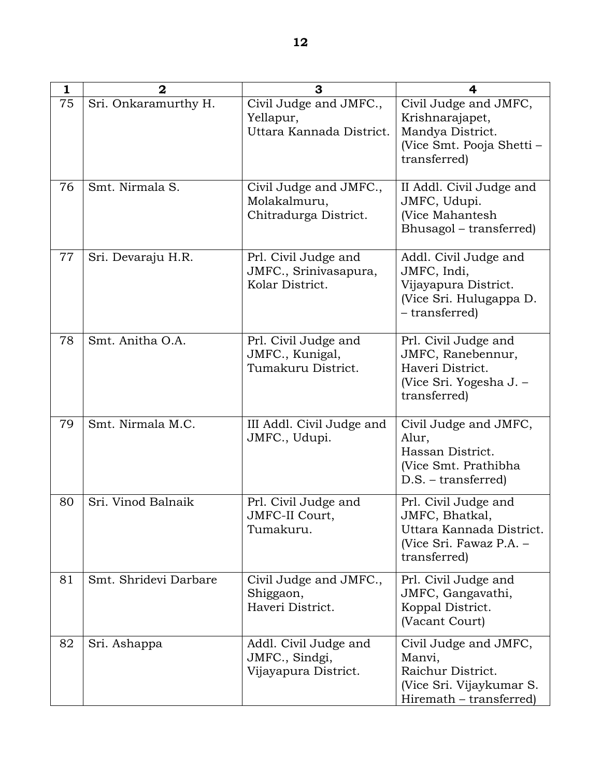| 1  | $\mathbf 2$           | 3                                                                | 4                                                                                                             |
|----|-----------------------|------------------------------------------------------------------|---------------------------------------------------------------------------------------------------------------|
| 75 | Sri. Onkaramurthy H.  | Civil Judge and JMFC.,<br>Yellapur,<br>Uttara Kannada District.  | Civil Judge and JMFC,<br>Krishnarajapet,<br>Mandya District.<br>(Vice Smt. Pooja Shetti –<br>transferred)     |
| 76 | Smt. Nirmala S.       | Civil Judge and JMFC.,<br>Molakalmuru,<br>Chitradurga District.  | II Addl. Civil Judge and<br>JMFC, Udupi.<br>(Vice Mahantesh<br>Bhusagol – transferred)                        |
| 77 | Sri. Devaraju H.R.    | Prl. Civil Judge and<br>JMFC., Srinivasapura,<br>Kolar District. | Addl. Civil Judge and<br>JMFC, Indi,<br>Vijayapura District.<br>(Vice Sri. Hulugappa D.<br>- transferred)     |
| 78 | Smt. Anitha O.A.      | Prl. Civil Judge and<br>JMFC., Kunigal,<br>Tumakuru District.    | Prl. Civil Judge and<br>JMFC, Ranebennur,<br>Haveri District.<br>(Vice Sri. Yogesha J. –<br>transferred)      |
| 79 | Smt. Nirmala M.C.     | III Addl. Civil Judge and<br>JMFC., Udupi.                       | Civil Judge and JMFC,<br>Alur,<br>Hassan District.<br>(Vice Smt. Prathibha<br>$D.S.$ – transferred)           |
| 80 | Sri. Vinod Balnaik    | Prl. Civil Judge and<br>JMFC-II Court,<br>Tumakuru.              | Prl. Civil Judge and<br>JMFC, Bhatkal,<br>Uttara Kannada District.<br>(Vice Sri. Fawaz P.A. -<br>transferred) |
| 81 | Smt. Shridevi Darbare | Civil Judge and JMFC.,<br>Shiggaon,<br>Haveri District.          | Prl. Civil Judge and<br>JMFC, Gangavathi,<br>Koppal District.<br>(Vacant Court)                               |
| 82 | Sri. Ashappa          | Addl. Civil Judge and<br>JMFC., Sindgi,<br>Vijayapura District.  | Civil Judge and JMFC,<br>Manvi,<br>Raichur District.<br>(Vice Sri. Vijaykumar S.<br>Hiremath – transferred)   |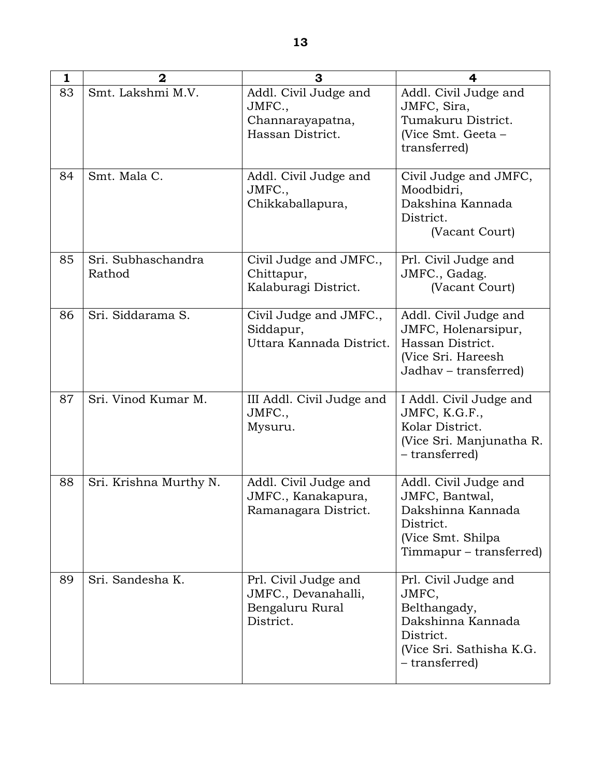| $\mathbf{1}$ | $\overline{2}$               | 3                                                                           | 4                                                                                                                             |
|--------------|------------------------------|-----------------------------------------------------------------------------|-------------------------------------------------------------------------------------------------------------------------------|
| 83           | Smt. Lakshmi M.V.            | Addl. Civil Judge and<br>JMFC.<br>Channarayapatna,<br>Hassan District.      | Addl. Civil Judge and<br>JMFC, Sira,<br>Tumakuru District.<br>(Vice Smt. Geeta –<br>transferred)                              |
| 84           | Smt. Mala C.                 | Addl. Civil Judge and<br>JMFC.,<br>Chikkaballapura,                         | Civil Judge and JMFC,<br>Moodbidri,<br>Dakshina Kannada<br>District.<br>(Vacant Court)                                        |
| 85           | Sri. Subhaschandra<br>Rathod | Civil Judge and JMFC.,<br>Chittapur,<br>Kalaburagi District.                | Prl. Civil Judge and<br>JMFC., Gadag.<br>(Vacant Court)                                                                       |
| 86           | Sri. Siddarama S.            | Civil Judge and JMFC.,<br>Siddapur,<br>Uttara Kannada District.             | Addl. Civil Judge and<br>JMFC, Holenarsipur,<br>Hassan District.<br>(Vice Sri. Hareesh<br>Jadhav - transferred)               |
| 87           | Sri. Vinod Kumar M.          | III Addl. Civil Judge and<br>JMFC.,<br>Mysuru.                              | I Addl. Civil Judge and<br>JMFC, K.G.F.,<br>Kolar District.<br>(Vice Sri. Manjunatha R.<br>– transferred)                     |
| 88           | Sri. Krishna Murthy N.       | Addl. Civil Judge and<br>JMFC., Kanakapura,<br>Ramanagara District.         | Addl. Civil Judge and<br>JMFC, Bantwal,<br>Dakshinna Kannada<br>District.<br>(Vice Smt. Shilpa<br>Timmapur – transferred)     |
| 89           | Sri. Sandesha K.             | Prl. Civil Judge and<br>JMFC., Devanahalli,<br>Bengaluru Rural<br>District. | Prl. Civil Judge and<br>JMFC,<br>Belthangady,<br>Dakshinna Kannada<br>District.<br>(Vice Sri. Sathisha K.G.<br>- transferred) |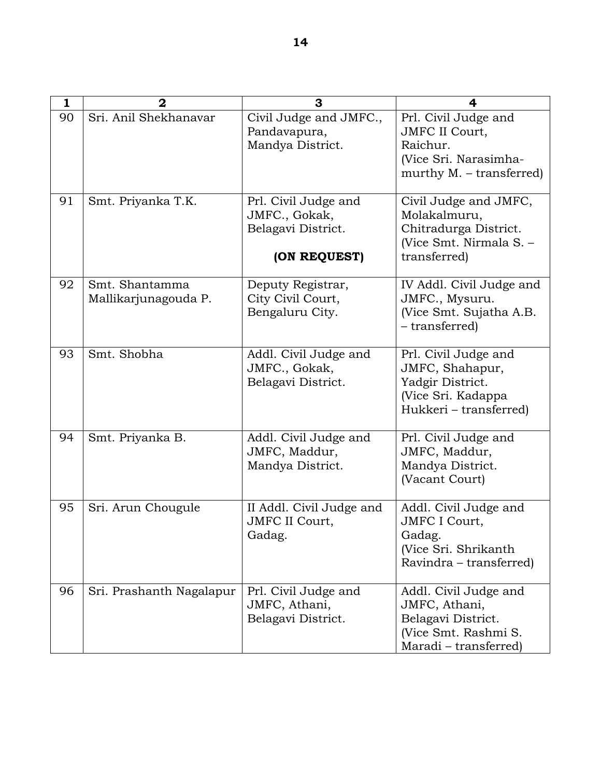| 1  | $\mathbf 2$                            | 3                                                                           | 4                                                                                                              |
|----|----------------------------------------|-----------------------------------------------------------------------------|----------------------------------------------------------------------------------------------------------------|
| 90 | Sri. Anil Shekhanavar                  | Civil Judge and JMFC.,<br>Pandavapura,<br>Mandya District.                  | Prl. Civil Judge and<br><b>JMFC II Court,</b><br>Raichur.<br>(Vice Sri. Narasimha-<br>murthy M. – transferred) |
| 91 | Smt. Priyanka T.K.                     | Prl. Civil Judge and<br>JMFC., Gokak,<br>Belagavi District.<br>(ON REQUEST) | Civil Judge and JMFC,<br>Molakalmuru,<br>Chitradurga District.<br>(Vice Smt. Nirmala S. -<br>transferred)      |
| 92 | Smt. Shantamma<br>Mallikarjunagouda P. | Deputy Registrar,<br>City Civil Court,<br>Bengaluru City.                   | IV Addl. Civil Judge and<br>JMFC., Mysuru.<br>(Vice Smt. Sujatha A.B.<br>- transferred)                        |
| 93 | Smt. Shobha                            | Addl. Civil Judge and<br>JMFC., Gokak,<br>Belagavi District.                | Prl. Civil Judge and<br>JMFC, Shahapur,<br>Yadgir District.<br>(Vice Sri. Kadappa<br>Hukkeri - transferred)    |
| 94 | Smt. Priyanka B.                       | Addl. Civil Judge and<br>JMFC, Maddur,<br>Mandya District.                  | Prl. Civil Judge and<br>JMFC, Maddur,<br>Mandya District.<br>(Vacant Court)                                    |
| 95 | Sri. Arun Chougule                     | II Addl. Civil Judge and<br><b>JMFC II Court,</b><br>Gadag.                 | Addl. Civil Judge and<br><b>JMFC I Court,</b><br>Gadag.<br>(Vice Sri. Shrikanth<br>Ravindra – transferred)     |
| 96 | Sri. Prashanth Nagalapur               | Prl. Civil Judge and<br>JMFC, Athani,<br>Belagavi District.                 | Addl. Civil Judge and<br>JMFC, Athani,<br>Belagavi District.<br>(Vice Smt. Rashmi S.<br>Maradi – transferred)  |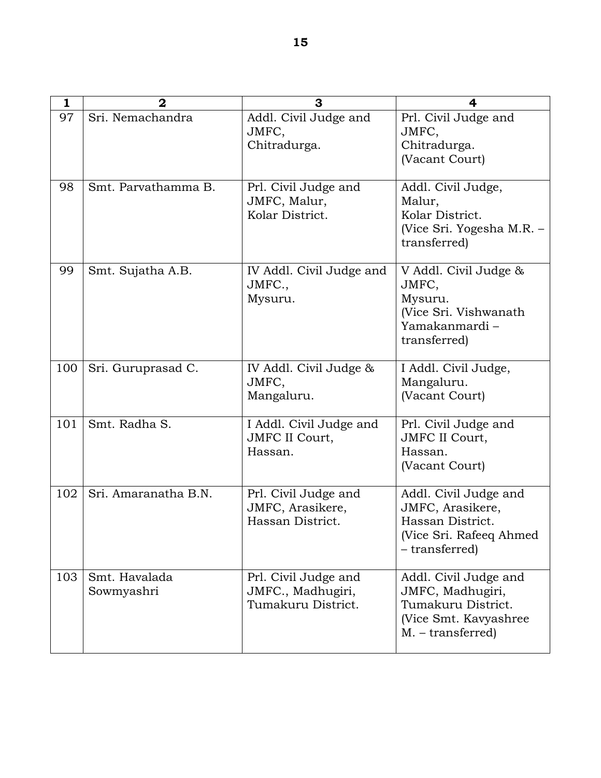| 1   | $\mathbf{2}$                | 3                                                               | 4                                                                                                               |
|-----|-----------------------------|-----------------------------------------------------------------|-----------------------------------------------------------------------------------------------------------------|
| 97  | Sri. Nemachandra            | Addl. Civil Judge and<br>JMFC,<br>Chitradurga.                  | Prl. Civil Judge and<br>JMFC,<br>Chitradurga.<br>(Vacant Court)                                                 |
| 98  | Smt. Parvathamma B.         | Prl. Civil Judge and<br>JMFC, Malur,<br>Kolar District.         | Addl. Civil Judge,<br>Malur,<br>Kolar District.<br>(Vice Sri. Yogesha M.R. –<br>transferred)                    |
| 99  | Smt. Sujatha A.B.           | IV Addl. Civil Judge and<br>JMFC.,<br>Mysuru.                   | V Addl. Civil Judge &<br>JMFC,<br>Mysuru.<br>(Vice Sri. Vishwanath<br>Yamakanmardi –<br>transferred)            |
| 100 | Sri. Guruprasad C.          | IV Addl. Civil Judge &<br>JMFC,<br>Mangaluru.                   | I Addl. Civil Judge,<br>Mangaluru.<br>(Vacant Court)                                                            |
| 101 | Smt. Radha S.               | I Addl. Civil Judge and<br><b>JMFC II Court,</b><br>Hassan.     | Prl. Civil Judge and<br><b>JMFC II Court,</b><br>Hassan.<br>(Vacant Court)                                      |
| 102 | Sri. Amaranatha B.N.        | Prl. Civil Judge and<br>JMFC, Arasikere,<br>Hassan District.    | Addl. Civil Judge and<br>JMFC, Arasikere,<br>Hassan District.<br>(Vice Sri. Rafeeq Ahmed<br>– transferred)      |
| 103 | Smt. Havalada<br>Sowmyashri | Prl. Civil Judge and<br>JMFC., Madhugiri,<br>Tumakuru District. | Addl. Civil Judge and<br>JMFC, Madhugiri,<br>Tumakuru District.<br>(Vice Smt. Kavyashree)<br>$M. - transferred$ |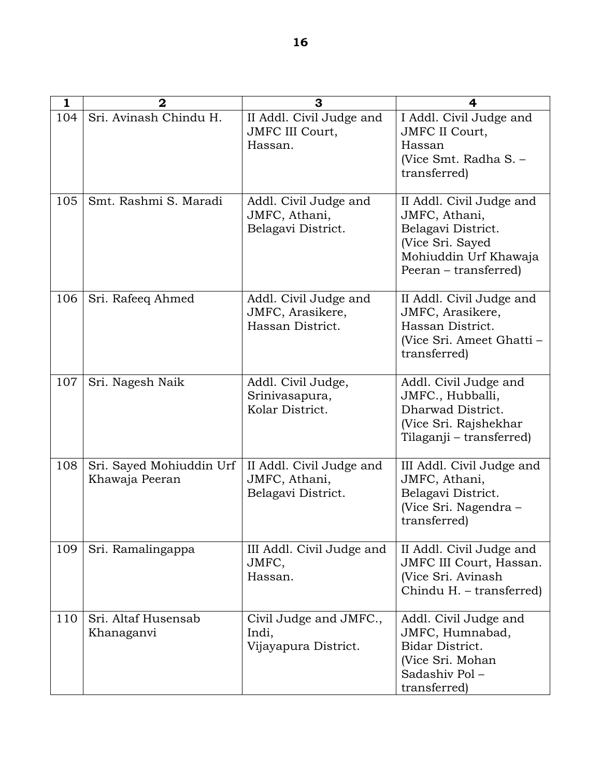| 1   | 2                                          | 3                                                               | 4                                                                                                                                     |
|-----|--------------------------------------------|-----------------------------------------------------------------|---------------------------------------------------------------------------------------------------------------------------------------|
| 104 | Sri. Avinash Chindu H.                     | II Addl. Civil Judge and<br><b>JMFC III Court,</b><br>Hassan.   | I Addl. Civil Judge and<br><b>JMFC II Court,</b><br>Hassan<br>(Vice Smt. Radha S. -<br>transferred)                                   |
| 105 | Smt. Rashmi S. Maradi                      | Addl. Civil Judge and<br>JMFC, Athani,<br>Belagavi District.    | II Addl. Civil Judge and<br>JMFC, Athani,<br>Belagavi District.<br>(Vice Sri. Sayed<br>Mohiuddin Urf Khawaja<br>Peeran – transferred) |
| 106 | Sri. Rafeeq Ahmed                          | Addl. Civil Judge and<br>JMFC, Arasikere,<br>Hassan District.   | II Addl. Civil Judge and<br>JMFC, Arasikere,<br>Hassan District.<br>(Vice Sri. Ameet Ghatti -<br>transferred)                         |
| 107 | Sri. Nagesh Naik                           | Addl. Civil Judge,<br>Srinivasapura,<br>Kolar District.         | Addl. Civil Judge and<br>JMFC., Hubballi,<br>Dharwad District.<br>(Vice Sri. Rajshekhar<br>Tilaganji – transferred)                   |
| 108 | Sri. Sayed Mohiuddin Urf<br>Khawaja Peeran | II Addl. Civil Judge and<br>JMFC, Athani,<br>Belagavi District. | III Addl. Civil Judge and<br>JMFC, Athani,<br>Belagavi District.<br>(Vice Sri. Nagendra –<br>transferred)                             |
| 109 | Sri. Ramalingappa                          | III Addl. Civil Judge and<br>JMFC,<br>Hassan.                   | II Addl. Civil Judge and<br>JMFC III Court, Hassan.<br>(Vice Sri. Avinash<br>Chindu H. - transferred)                                 |
| 110 | Sri. Altaf Husensab<br>Khanaganvi          | Civil Judge and JMFC.,<br>Indi,<br>Vijayapura District.         | Addl. Civil Judge and<br>JMFC, Humnabad,<br>Bidar District.<br>(Vice Sri. Mohan<br>Sadashiv Pol-<br>transferred)                      |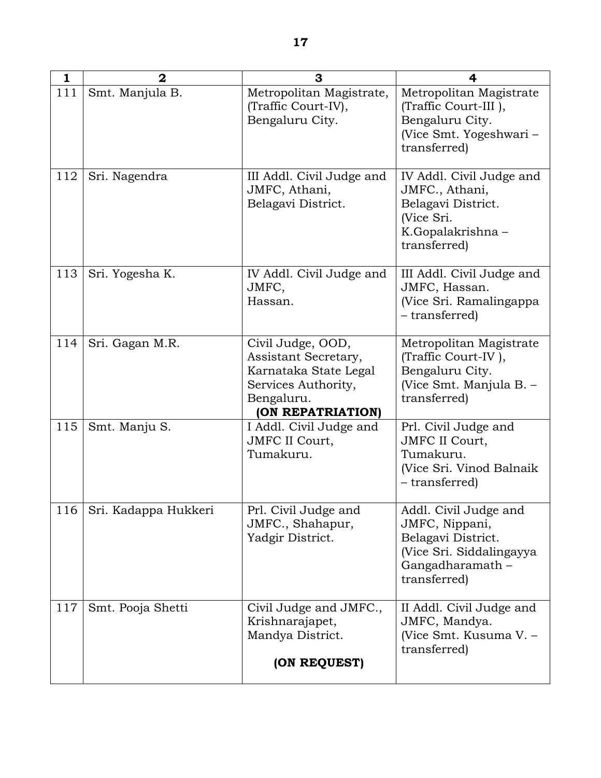| 1   | $\mathbf{2}$         | 3                                                                                                                            | 4                                                                                                                             |
|-----|----------------------|------------------------------------------------------------------------------------------------------------------------------|-------------------------------------------------------------------------------------------------------------------------------|
| 111 | Smt. Manjula B.      | Metropolitan Magistrate,<br>(Traffic Court-IV),<br>Bengaluru City.                                                           | Metropolitan Magistrate<br>(Traffic Court-III),<br>Bengaluru City.<br>(Vice Smt. Yogeshwari -<br>transferred)                 |
| 112 | Sri. Nagendra        | III Addl. Civil Judge and<br>JMFC, Athani,<br>Belagavi District.                                                             | IV Addl. Civil Judge and<br>JMFC., Athani,<br>Belagavi District.<br>(Vice Sri.<br>K.Gopalakrishna-<br>transferred)            |
| 113 | Sri. Yogesha K.      | IV Addl. Civil Judge and<br>JMFC,<br>Hassan.                                                                                 | III Addl. Civil Judge and<br>JMFC, Hassan.<br>(Vice Sri. Ramalingappa<br>- transferred)                                       |
| 114 | Sri. Gagan M.R.      | Civil Judge, OOD,<br>Assistant Secretary,<br>Karnataka State Legal<br>Services Authority,<br>Bengaluru.<br>(ON REPATRIATION) | Metropolitan Magistrate<br>(Traffic Court-IV),<br>Bengaluru City.<br>(Vice Smt. Manjula B. -<br>transferred)                  |
| 115 | Smt. Manju S.        | I Addl. Civil Judge and<br><b>JMFC II Court,</b><br>Tumakuru.                                                                | Prl. Civil Judge and<br><b>JMFC II Court,</b><br>Tumakuru.<br>(Vice Sri. Vinod Balnaik<br>- transferred)                      |
| 116 | Sri. Kadappa Hukkeri | Prl. Civil Judge and<br>JMFC., Shahapur,<br>Yadgir District.                                                                 | Addl. Civil Judge and<br>JMFC, Nippani,<br>Belagavi District.<br>(Vice Sri. Siddalingayya<br>Gangadharamath -<br>transferred) |
| 117 | Smt. Pooja Shetti    | Civil Judge and JMFC.,<br>Krishnarajapet,<br>Mandya District.<br>(ON REQUEST)                                                | II Addl. Civil Judge and<br>JMFC, Mandya.<br>(Vice Smt. Kusuma V. -<br>transferred)                                           |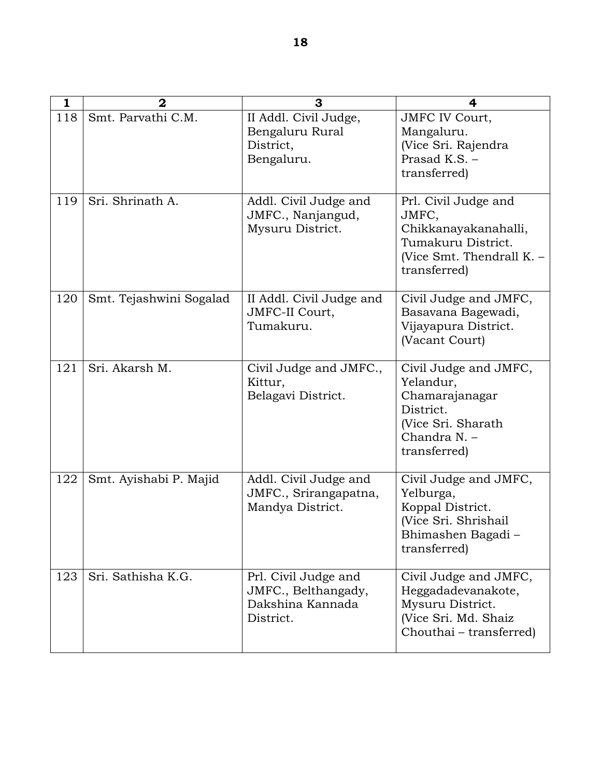| $\mathbf{1}$ | $\overline{2}$          | 3                                                                            | 4                                                                                                                        |
|--------------|-------------------------|------------------------------------------------------------------------------|--------------------------------------------------------------------------------------------------------------------------|
| 118          | Smt. Parvathi C.M.      | II Addl. Civil Judge,<br>Bengaluru Rural<br>District,<br>Bengaluru.          | <b>JMFC IV Court,</b><br>Mangaluru.<br>(Vice Sri. Rajendra<br>Prasad K.S. -<br>transferred)                              |
| 119          | Sri. Shrinath A.        | Addl. Civil Judge and<br>JMFC., Nanjangud,<br>Mysuru District.               | Prl. Civil Judge and<br>JMFC,<br>Chikkanayakanahalli,<br>Tumakuru District.<br>(Vice Smt. Thendrall K. -<br>transferred) |
| 120          | Smt. Tejashwini Sogalad | II Addl. Civil Judge and<br>JMFC-II Court,<br>Tumakuru.                      | Civil Judge and JMFC,<br>Basavana Bagewadi,<br>Vijayapura District.<br>(Vacant Court)                                    |
| 121          | Sri. Akarsh M.          | Civil Judge and JMFC.,<br>Kittur,<br>Belagavi District.                      | Civil Judge and JMFC,<br>Yelandur,<br>Chamarajanagar<br>District.<br>(Vice Sri. Sharath<br>Chandra N. -<br>transferred)  |
| 122          | Smt. Ayishabi P. Majid  | Addl. Civil Judge and<br>JMFC., Srirangapatna,<br>Mandya District.           | Civil Judge and JMFC,<br>Yelburga,<br>Koppal District.<br>(Vice Sri. Shrishail<br>Bhimashen Bagadi<br>transferred)       |
| 123          | Sri. Sathisha K.G.      | Prl. Civil Judge and<br>JMFC., Belthangady,<br>Dakshina Kannada<br>District. | Civil Judge and JMFC,<br>Heggadadevanakote,<br>Mysuru District.<br>(Vice Sri. Md. Shaiz<br>Chouthai - transferred)       |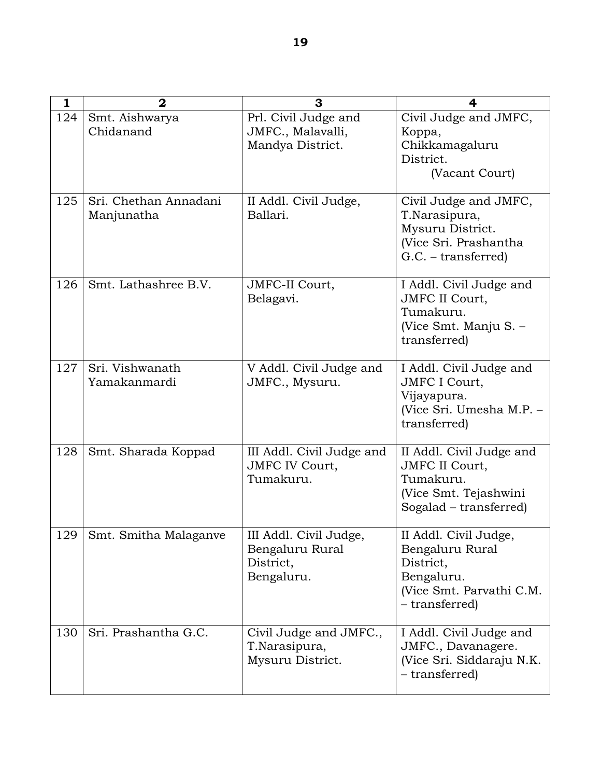| 1   | $\mathbf 2$                         | 3                                                                    | 4                                                                                                                 |
|-----|-------------------------------------|----------------------------------------------------------------------|-------------------------------------------------------------------------------------------------------------------|
| 124 | Smt. Aishwarya<br>Chidanand         | Prl. Civil Judge and<br>JMFC., Malavalli,<br>Mandya District.        | Civil Judge and JMFC,<br>Koppa,<br>Chikkamagaluru<br>District.<br>(Vacant Court)                                  |
| 125 | Sri. Chethan Annadani<br>Manjunatha | II Addl. Civil Judge,<br>Ballari.                                    | Civil Judge and JMFC,<br>T.Narasipura,<br>Mysuru District.<br>(Vice Sri. Prashantha<br>$G.C. - transferred)$      |
| 126 | Smt. Lathashree B.V.                | JMFC-II Court,<br>Belagavi.                                          | I Addl. Civil Judge and<br><b>JMFC II Court,</b><br>Tumakuru.<br>(Vice Smt. Manju S. -<br>transferred)            |
| 127 | Sri. Vishwanath<br>Yamakanmardi     | V Addl. Civil Judge and<br>JMFC., Mysuru.                            | I Addl. Civil Judge and<br><b>JMFC I Court,</b><br>Vijayapura.<br>(Vice Sri. Umesha M.P. -<br>transferred)        |
| 128 | Smt. Sharada Koppad                 | III Addl. Civil Judge and<br><b>JMFC IV Court,</b><br>Tumakuru.      | II Addl. Civil Judge and<br><b>JMFC II Court,</b><br>Tumakuru.<br>(Vice Smt. Tejashwini<br>Sogalad – transferred) |
|     | 129   Smt. Smitha Malaganve         | III Addl. Civil Judge,<br>Bengaluru Rural<br>District,<br>Bengaluru. | II Addl. Civil Judge,<br>Bengaluru Rural<br>District,<br>Bengaluru.<br>(Vice Smt. Parvathi C.M.<br>- transferred) |
| 130 | Sri. Prashantha G.C.                | Civil Judge and JMFC.,<br>T.Narasipura,<br>Mysuru District.          | I Addl. Civil Judge and<br>JMFC., Davanagere.<br>(Vice Sri. Siddaraju N.K.<br>- transferred)                      |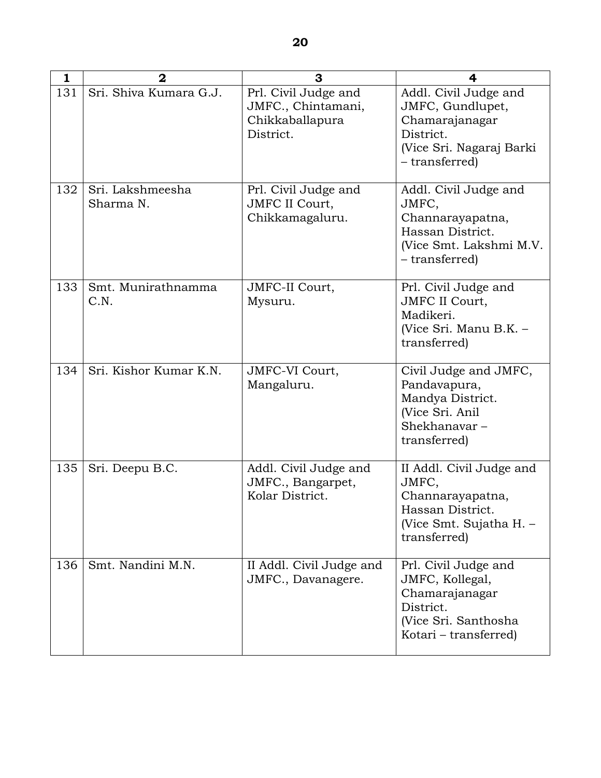| $\mathbf{1}$ | $\overline{2}$                | 3                                                                          | 4                                                                                                                       |
|--------------|-------------------------------|----------------------------------------------------------------------------|-------------------------------------------------------------------------------------------------------------------------|
| 131          | Sri. Shiva Kumara G.J.        | Prl. Civil Judge and<br>JMFC., Chintamani,<br>Chikkaballapura<br>District. | Addl. Civil Judge and<br>JMFC, Gundlupet,<br>Chamarajanagar<br>District.<br>(Vice Sri. Nagaraj Barki<br>- transferred)  |
| 132          | Sri. Lakshmeesha<br>Sharma N. | Prl. Civil Judge and<br><b>JMFC II Court,</b><br>Chikkamagaluru.           | Addl. Civil Judge and<br>JMFC,<br>Channarayapatna,<br>Hassan District.<br>(Vice Smt. Lakshmi M.V.<br>– transferred)     |
| 133          | Smt. Munirathnamma<br>C.N.    | JMFC-II Court,<br>Mysuru.                                                  | Prl. Civil Judge and<br><b>JMFC II Court,</b><br>Madikeri.<br>(Vice Sri. Manu B.K. -<br>transferred)                    |
| 134          | Sri. Kishor Kumar K.N.        | JMFC-VI Court,<br>Mangaluru.                                               | Civil Judge and JMFC,<br>Pandavapura,<br>Mandya District.<br>(Vice Sri. Anil<br>Shekhanavar-<br>transferred)            |
| 135          | Sri. Deepu B.C.               | Addl. Civil Judge and<br>JMFC., Bangarpet,<br>Kolar District.              | II Addl. Civil Judge and<br>JMFC,<br>Channarayapatna,<br>Hassan District.<br>(Vice Smt. Sujatha H. -<br>transferred)    |
| 136          | Smt. Nandini M.N.             | II Addl. Civil Judge and<br>JMFC., Davanagere.                             | Prl. Civil Judge and<br>JMFC, Kollegal,<br>Chamarajanagar<br>District.<br>(Vice Sri. Santhosha<br>Kotari – transferred) |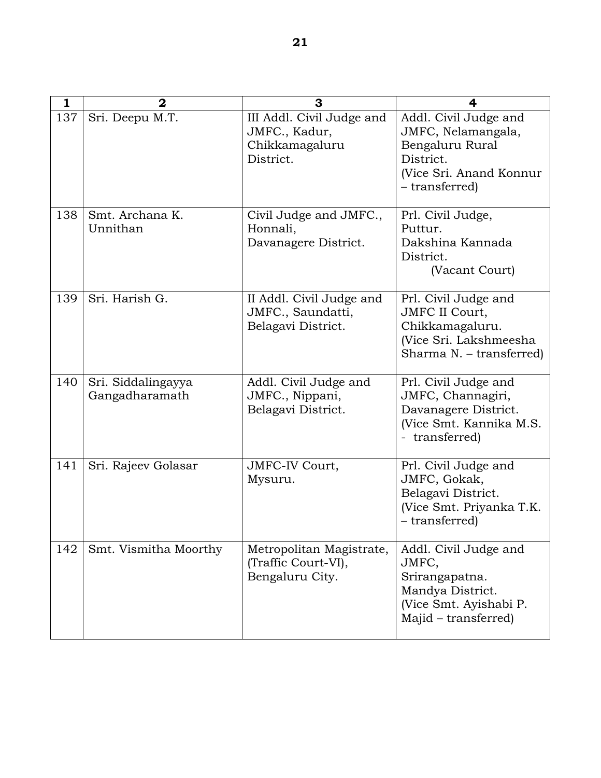| 1   | $\mathbf 2$                          | З                                                                         | 4                                                                                                                        |
|-----|--------------------------------------|---------------------------------------------------------------------------|--------------------------------------------------------------------------------------------------------------------------|
| 137 | Sri. Deepu M.T.                      | III Addl. Civil Judge and<br>JMFC., Kadur,<br>Chikkamagaluru<br>District. | Addl. Civil Judge and<br>JMFC, Nelamangala,<br>Bengaluru Rural<br>District.<br>(Vice Sri. Anand Konnur<br>- transferred) |
| 138 | Smt. Archana K.<br>Unnithan          | Civil Judge and JMFC.,<br>Honnali,<br>Davanagere District.                | Prl. Civil Judge,<br>Puttur.<br>Dakshina Kannada<br>District.<br>(Vacant Court)                                          |
| 139 | Sri. Harish G.                       | II Addl. Civil Judge and<br>JMFC., Saundatti,<br>Belagavi District.       | Prl. Civil Judge and<br><b>JMFC II Court,</b><br>Chikkamagaluru.<br>(Vice Sri. Lakshmeesha<br>Sharma N. - transferred)   |
| 140 | Sri. Siddalingayya<br>Gangadharamath | Addl. Civil Judge and<br>JMFC., Nippani,<br>Belagavi District.            | Prl. Civil Judge and<br>JMFC, Channagiri,<br>Davanagere District.<br>(Vice Smt. Kannika M.S.<br>- transferred)           |
| 141 | Sri. Rajeev Golasar                  | JMFC-IV Court,<br>Mysuru.                                                 | Prl. Civil Judge and<br>JMFC, Gokak,<br>Belagavi District.<br>(Vice Smt. Priyanka T.K.<br>- transferred)                 |
| 142 | Smt. Vismitha Moorthy                | Metropolitan Magistrate,<br>(Traffic Court-VI),<br>Bengaluru City.        | Addl. Civil Judge and<br>JMFC,<br>Srirangapatna.<br>Mandya District.<br>(Vice Smt. Ayishabi P.<br>Majid – transferred)   |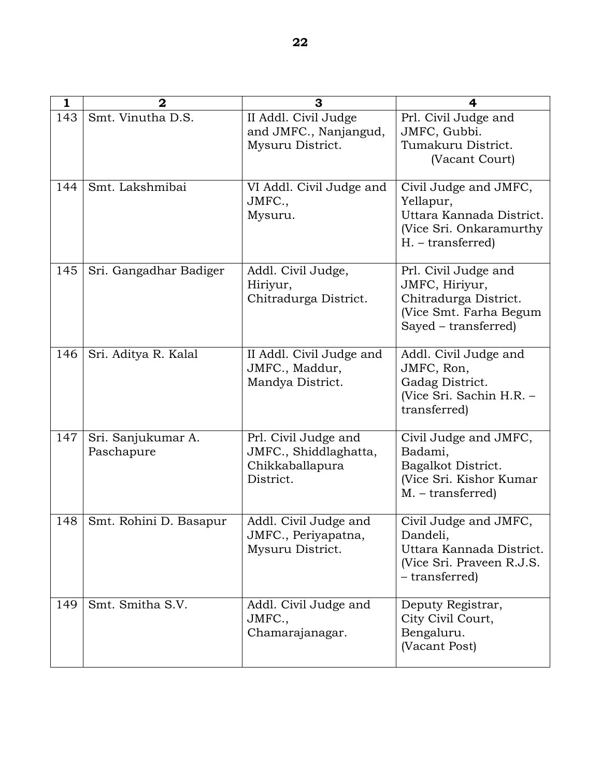| 1   | $\mathbf{2}$                     | 3                                                                             | 4                                                                                                                 |
|-----|----------------------------------|-------------------------------------------------------------------------------|-------------------------------------------------------------------------------------------------------------------|
| 143 | Smt. Vinutha D.S.                | II Addl. Civil Judge<br>and JMFC., Nanjangud,<br>Mysuru District.             | Prl. Civil Judge and<br>JMFC, Gubbi.<br>Tumakuru District.<br>(Vacant Court)                                      |
| 144 | Smt. Lakshmibai                  | VI Addl. Civil Judge and<br>JMFC.,<br>Mysuru.                                 | Civil Judge and JMFC,<br>Yellapur,<br>Uttara Kannada District.<br>(Vice Sri. Onkaramurthy<br>$H. - transferred)$  |
| 145 | Sri. Gangadhar Badiger           | Addl. Civil Judge,<br>Hiriyur,<br>Chitradurga District.                       | Prl. Civil Judge and<br>JMFC, Hiriyur,<br>Chitradurga District.<br>(Vice Smt. Farha Begum<br>Sayed – transferred) |
| 146 | Sri. Aditya R. Kalal             | II Addl. Civil Judge and<br>JMFC., Maddur,<br>Mandya District.                | Addl. Civil Judge and<br>JMFC, Ron,<br>Gadag District.<br>(Vice Sri. Sachin H.R. -<br>transferred)                |
| 147 | Sri. Sanjukumar A.<br>Paschapure | Prl. Civil Judge and<br>JMFC., Shiddlaghatta,<br>Chikkaballapura<br>District. | Civil Judge and JMFC,<br>Badami,<br>Bagalkot District.<br>(Vice Sri. Kishor Kumar<br>$M. - transferred)$          |
| 148 | Smt. Rohini D. Basapur           | Addl. Civil Judge and<br>JMFC., Periyapatna,<br>Mysuru District.              | Civil Judge and JMFC,<br>Dandeli,<br>Uttara Kannada District.<br>(Vice Sri. Praveen R.J.S.<br>- transferred)      |
| 149 | Smt. Smitha S.V.                 | Addl. Civil Judge and<br>JMFC.,<br>Chamarajanagar.                            | Deputy Registrar,<br>City Civil Court,<br>Bengaluru.<br>(Vacant Post)                                             |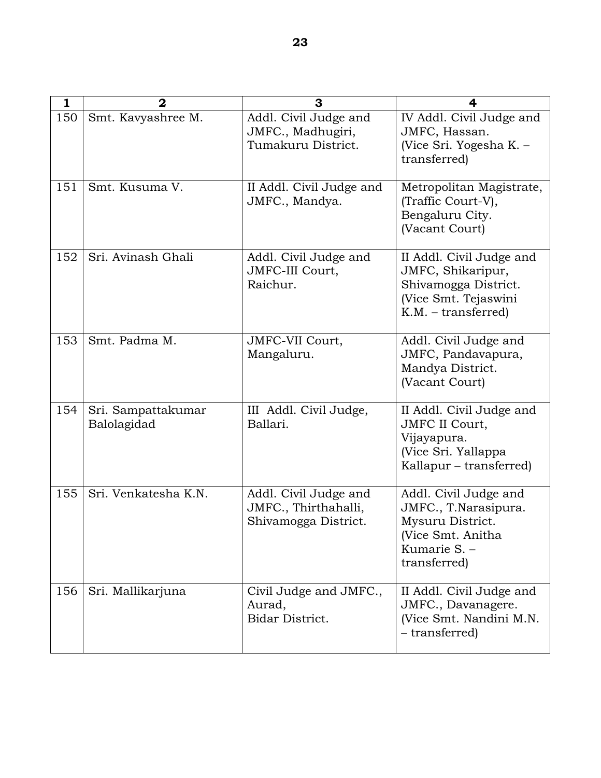| 1   | $\overline{2}$                    | 3                                                                     | 4                                                                                                                      |
|-----|-----------------------------------|-----------------------------------------------------------------------|------------------------------------------------------------------------------------------------------------------------|
| 150 | Smt. Kavyashree M.                | Addl. Civil Judge and<br>JMFC., Madhugiri,<br>Tumakuru District.      | IV Addl. Civil Judge and<br>JMFC, Hassan.<br>(Vice Sri. Yogesha K. -<br>transferred)                                   |
| 151 | Smt. Kusuma V.                    | II Addl. Civil Judge and<br>JMFC., Mandya.                            | Metropolitan Magistrate,<br>(Traffic Court-V),<br>Bengaluru City.<br>(Vacant Court)                                    |
| 152 | Sri. Avinash Ghali                | Addl. Civil Judge and<br>JMFC-III Court,<br>Raichur.                  | II Addl. Civil Judge and<br>JMFC, Shikaripur,<br>Shivamogga District.<br>(Vice Smt. Tejaswini<br>$K.M. - transferred)$ |
| 153 | Smt. Padma M.                     | JMFC-VII Court,<br>Mangaluru.                                         | Addl. Civil Judge and<br>JMFC, Pandavapura,<br>Mandya District.<br>(Vacant Court)                                      |
| 154 | Sri. Sampattakumar<br>Balolagidad | III Addl. Civil Judge,<br>Ballari.                                    | II Addl. Civil Judge and<br><b>JMFC II Court,</b><br>Vijayapura.<br>(Vice Sri. Yallappa<br>Kallapur - transferred)     |
| 155 | Sri. Venkatesha K.N.              | Addl. Civil Judge and<br>JMFC., Thirthahalli,<br>Shivamogga District. | Addl. Civil Judge and<br>JMFC., T.Narasipura.<br>Mysuru District.<br>(Vice Smt. Anitha<br>Kumarie S. -<br>transferred) |
| 156 | Sri. Mallikarjuna                 | Civil Judge and JMFC.,<br>Aurad,<br>Bidar District.                   | II Addl. Civil Judge and<br>JMFC., Davanagere.<br>(Vice Smt. Nandini M.N.<br>- transferred)                            |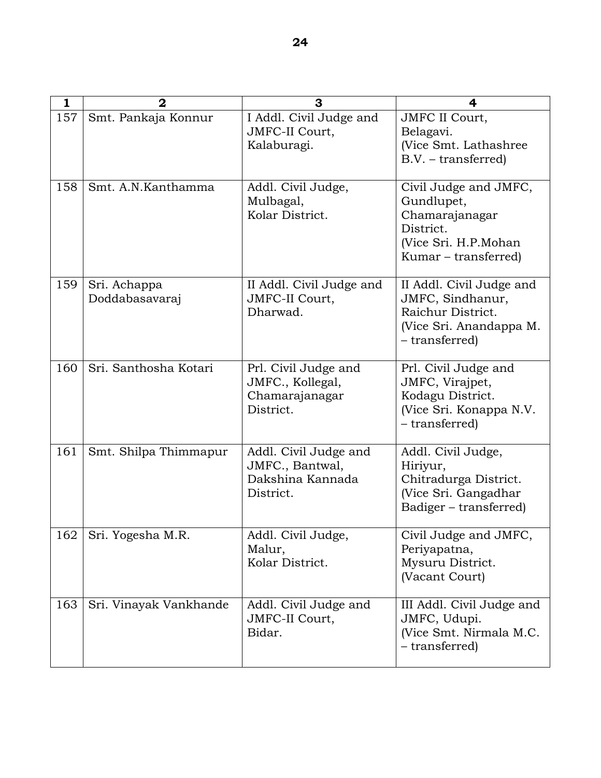| 1   | $\overline{2}$                 | 3                                                                         | 4                                                                                                                  |
|-----|--------------------------------|---------------------------------------------------------------------------|--------------------------------------------------------------------------------------------------------------------|
| 157 | Smt. Pankaja Konnur            | I Addl. Civil Judge and<br>JMFC-II Court,<br>Kalaburagi.                  | <b>JMFC II Court,</b><br>Belagavi.<br>(Vice Smt. Lathashree<br>$B.V. - transferred)$                               |
| 158 | Smt. A.N.Kanthamma             | Addl. Civil Judge,<br>Mulbagal,<br>Kolar District.                        | Civil Judge and JMFC,<br>Gundlupet,<br>Chamarajanagar<br>District.<br>(Vice Sri. H.P.Mohan<br>Kumar – transferred) |
| 159 | Sri. Achappa<br>Doddabasavaraj | II Addl. Civil Judge and<br>JMFC-II Court,<br>Dharwad.                    | II Addl. Civil Judge and<br>JMFC, Sindhanur,<br>Raichur District.<br>(Vice Sri. Anandappa M.<br>- transferred)     |
| 160 | Sri. Santhosha Kotari          | Prl. Civil Judge and<br>JMFC., Kollegal,<br>Chamarajanagar<br>District.   | Prl. Civil Judge and<br>JMFC, Virajpet,<br>Kodagu District.<br>(Vice Sri. Konappa N.V.<br>- transferred)           |
| 161 | Smt. Shilpa Thimmapur          | Addl. Civil Judge and<br>JMFC., Bantwal,<br>Dakshina Kannada<br>District. | Addl. Civil Judge,<br>Hiriyur,<br>Chitradurga District.<br>(Vice Sri. Gangadhar<br>Badiger - transferred)          |
| 162 | Sri. Yogesha M.R.              | Addl. Civil Judge,<br>Malur,<br>Kolar District.                           | Civil Judge and JMFC,<br>Periyapatna,<br>Mysuru District.<br>(Vacant Court)                                        |
| 163 | Sri. Vinayak Vankhande         | Addl. Civil Judge and<br>JMFC-II Court,<br>Bidar.                         | III Addl. Civil Judge and<br>JMFC, Udupi.<br>(Vice Smt. Nirmala M.C.<br>- transferred)                             |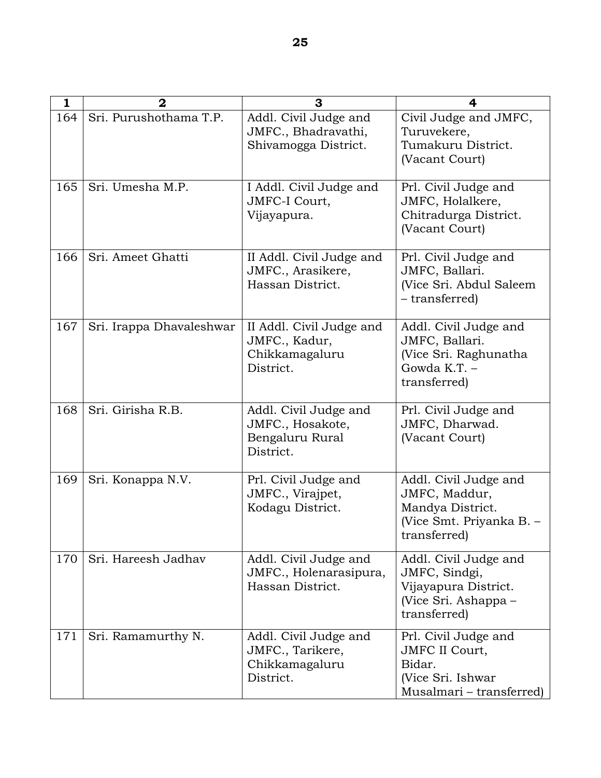| 1   | $\overline{2}$           | 3                                                                         | 4                                                                                                        |
|-----|--------------------------|---------------------------------------------------------------------------|----------------------------------------------------------------------------------------------------------|
| 164 | Sri. Purushothama T.P.   | Addl. Civil Judge and<br>JMFC., Bhadravathi,<br>Shivamogga District.      | Civil Judge and JMFC,<br>Turuvekere,<br>Tumakuru District.<br>(Vacant Court)                             |
| 165 | Sri. Umesha M.P.         | I Addl. Civil Judge and<br>JMFC-I Court,<br>Vijayapura.                   | Prl. Civil Judge and<br>JMFC, Holalkere,<br>Chitradurga District.<br>(Vacant Court)                      |
| 166 | Sri. Ameet Ghatti        | II Addl. Civil Judge and<br>JMFC., Arasikere,<br>Hassan District.         | Prl. Civil Judge and<br>JMFC, Ballari.<br>(Vice Sri. Abdul Saleem<br>- transferred)                      |
| 167 | Sri. Irappa Dhavaleshwar | II Addl. Civil Judge and<br>JMFC., Kadur,<br>Chikkamagaluru<br>District.  | Addl. Civil Judge and<br>JMFC, Ballari.<br>(Vice Sri. Raghunatha<br>Gowda $K.T.$ -<br>transferred)       |
| 168 | Sri. Girisha R.B.        | Addl. Civil Judge and<br>JMFC., Hosakote,<br>Bengaluru Rural<br>District. | Prl. Civil Judge and<br>JMFC, Dharwad.<br>(Vacant Court)                                                 |
| 169 | Sri. Konappa N.V.        | Prl. Civil Judge and<br>JMFC., Virajpet,<br>Kodagu District.              | Addl. Civil Judge and<br>JMFC, Maddur,<br>Mandya District.<br>(Vice Smt. Priyanka B. -<br>transferred)   |
| 170 | Sri. Hareesh Jadhav      | Addl. Civil Judge and<br>JMFC., Holenarasipura,<br>Hassan District.       | Addl. Civil Judge and<br>JMFC, Sindgi,<br>Vijayapura District.<br>(Vice Sri. Ashappa –<br>transferred)   |
| 171 | Sri. Ramamurthy N.       | Addl. Civil Judge and<br>JMFC., Tarikere,<br>Chikkamagaluru<br>District.  | Prl. Civil Judge and<br><b>JMFC II Court,</b><br>Bidar.<br>(Vice Sri. Ishwar<br>Musalmari - transferred) |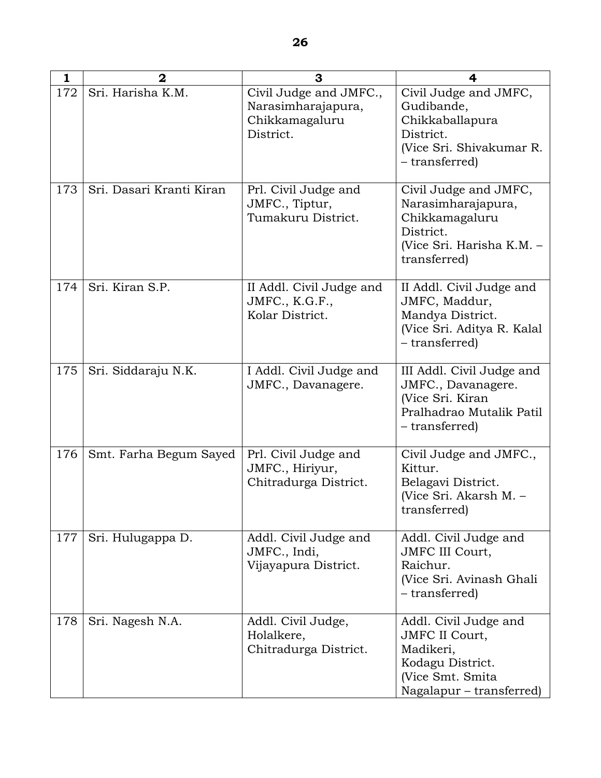| 1   | $\mathbf{2}$             | 3                                                                           | 4                                                                                                                               |
|-----|--------------------------|-----------------------------------------------------------------------------|---------------------------------------------------------------------------------------------------------------------------------|
| 172 | Sri. Harisha K.M.        | Civil Judge and JMFC.,<br>Narasimharajapura,<br>Chikkamagaluru<br>District. | Civil Judge and JMFC,<br>Gudibande,<br>Chikkaballapura<br>District.<br>(Vice Sri. Shivakumar R.<br>- transferred)               |
| 173 | Sri. Dasari Kranti Kiran | Prl. Civil Judge and<br>JMFC., Tiptur,<br>Tumakuru District.                | Civil Judge and JMFC,<br>Narasimharajapura,<br>Chikkamagaluru<br>District.<br>(Vice Sri. Harisha K.M. -<br>transferred)         |
| 174 | Sri. Kiran S.P.          | II Addl. Civil Judge and<br>JMFC., K.G.F.,<br>Kolar District.               | II Addl. Civil Judge and<br>JMFC, Maddur,<br>Mandya District.<br>(Vice Sri. Aditya R. Kalal<br>- transferred)                   |
| 175 | Sri. Siddaraju N.K.      | I Addl. Civil Judge and<br>JMFC., Davanagere.                               | III Addl. Civil Judge and<br>JMFC., Davanagere.<br>(Vice Sri. Kiran<br>Pralhadrao Mutalik Patil<br>– transferred)               |
| 176 | Smt. Farha Begum Sayed   | Prl. Civil Judge and<br>JMFC., Hiriyur,<br>Chitradurga District.            | Civil Judge and JMFC.,<br>Kittur.<br>Belagavi District.<br>(Vice Sri. Akarsh M. -<br>transferred)                               |
| 177 | Sri. Hulugappa D.        | Addl. Civil Judge and<br>JMFC., Indi,<br>Vijayapura District.               | Addl. Civil Judge and<br>JMFC III Court,<br>Raichur.<br>(Vice Sri. Avinash Ghali<br>- transferred)                              |
| 178 | Sri. Nagesh N.A.         | Addl. Civil Judge,<br>Holalkere,<br>Chitradurga District.                   | Addl. Civil Judge and<br><b>JMFC II Court,</b><br>Madikeri,<br>Kodagu District.<br>(Vice Smt. Smita<br>Nagalapur - transferred) |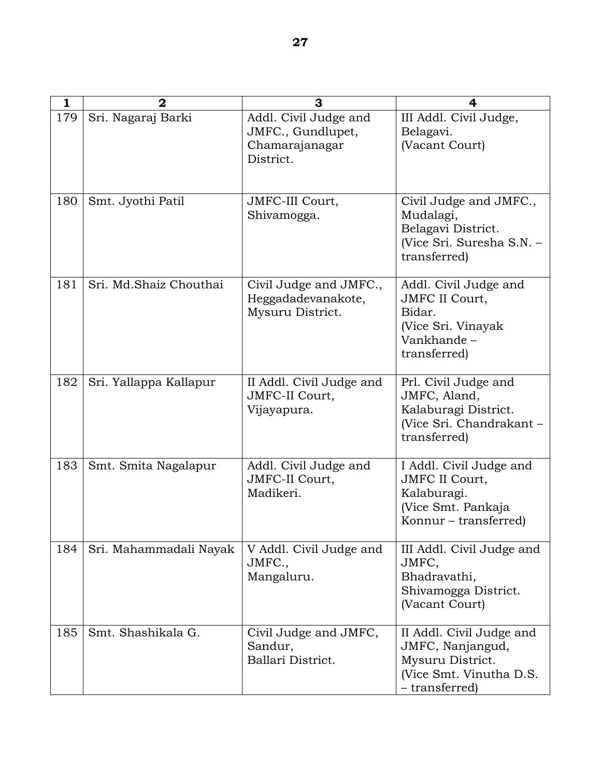| $\mathbf{1}$ | $\mathbf 2$            | 3                                                                         | 4                                                                                                              |
|--------------|------------------------|---------------------------------------------------------------------------|----------------------------------------------------------------------------------------------------------------|
| 179          | Sri. Nagaraj Barki     | Addl. Civil Judge and<br>JMFC., Gundlupet,<br>Chamarajanagar<br>District. | III Addl. Civil Judge,<br>Belagavi.<br>(Vacant Court)                                                          |
| 180          | Smt. Jyothi Patil      | JMFC-III Court,<br>Shivamogga.                                            | Civil Judge and JMFC.,<br>Mudalagi,<br>Belagavi District.<br>(Vice Sri. Suresha S.N. -<br>transferred)         |
| 181          | Sri. Md.Shaiz Chouthai | Civil Judge and JMFC.,<br>Heggadadevanakote,<br>Mysuru District.          | Addl. Civil Judge and<br><b>JMFC II Court,</b><br>Bidar.<br>(Vice Sri. Vinayak<br>Vankhande-<br>transferred)   |
| 182          | Sri. Yallappa Kallapur | II Addl. Civil Judge and<br>JMFC-II Court,<br>Vijayapura.                 | Prl. Civil Judge and<br>JMFC, Aland,<br>Kalaburagi District.<br>(Vice Sri. Chandrakant -<br>transferred)       |
| 183          | Smt. Smita Nagalapur   | Addl. Civil Judge and<br>JMFC-II Court,<br>Madikeri.                      | I Addl. Civil Judge and<br><b>JMFC II Court,</b><br>Kalaburagi.<br>(Vice Smt. Pankaja<br>Konnur – transferred) |
| 184          | Sri. Mahammadali Nayak | V Addl. Civil Judge and<br>JMFC.,<br>Mangaluru.                           | III Addl. Civil Judge and<br>JMFC,<br>Bhadravathi,<br>Shivamogga District.<br>(Vacant Court)                   |
| 185          | Smt. Shashikala G.     | Civil Judge and JMFC,<br>Sandur,<br>Ballari District.                     | II Addl. Civil Judge and<br>JMFC, Nanjangud,<br>Mysuru District.<br>(Vice Smt. Vinutha D.S.<br>- transferred)  |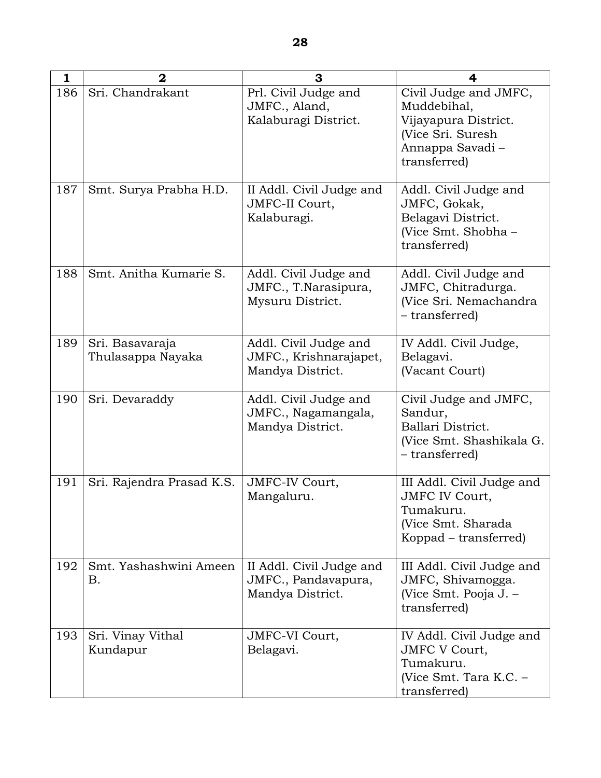| 1   | 2                                    | 3                                                                   | 4                                                                                                                    |
|-----|--------------------------------------|---------------------------------------------------------------------|----------------------------------------------------------------------------------------------------------------------|
| 186 | Sri. Chandrakant                     | Prl. Civil Judge and<br>JMFC., Aland,<br>Kalaburagi District.       | Civil Judge and JMFC,<br>Muddebihal,<br>Vijayapura District.<br>(Vice Sri. Suresh<br>Annappa Savadi-<br>transferred) |
| 187 | Smt. Surya Prabha H.D.               | II Addl. Civil Judge and<br>JMFC-II Court,<br>Kalaburagi.           | Addl. Civil Judge and<br>JMFC, Gokak,<br>Belagavi District.<br>(Vice Smt. Shobha -<br>transferred)                   |
| 188 | Smt. Anitha Kumarie S.               | Addl. Civil Judge and<br>JMFC., T.Narasipura,<br>Mysuru District.   | Addl. Civil Judge and<br>JMFC, Chitradurga.<br>(Vice Sri. Nemachandra<br>- transferred)                              |
| 189 | Sri. Basavaraja<br>Thulasappa Nayaka | Addl. Civil Judge and<br>JMFC., Krishnarajapet,<br>Mandya District. | IV Addl. Civil Judge,<br>Belagavi.<br>(Vacant Court)                                                                 |
| 190 | Sri. Devaraddy                       | Addl. Civil Judge and<br>JMFC., Nagamangala,<br>Mandya District.    | Civil Judge and JMFC,<br>Sandur,<br>Ballari District.<br>(Vice Smt. Shashikala G.<br>– transferred)                  |
| 191 | Sri. Rajendra Prasad K.S.            | JMFC-IV Court,<br>Mangaluru.                                        | III Addl. Civil Judge and<br><b>JMFC IV Court,</b><br>Tumakuru.<br>(Vice Smt. Sharada<br>Koppad – transferred)       |
| 192 | Smt. Yashashwini Ameen<br><b>B.</b>  | II Addl. Civil Judge and<br>JMFC., Pandavapura,<br>Mandya District. | III Addl. Civil Judge and<br>JMFC, Shivamogga.<br>(Vice Smt. Pooja J. –<br>transferred)                              |
| 193 | Sri. Vinay Vithal<br>Kundapur        | JMFC-VI Court,<br>Belagavi.                                         | IV Addl. Civil Judge and<br><b>JMFC V Court,</b><br>Tumakuru.<br>(Vice Smt. Tara K.C. -<br>transferred)              |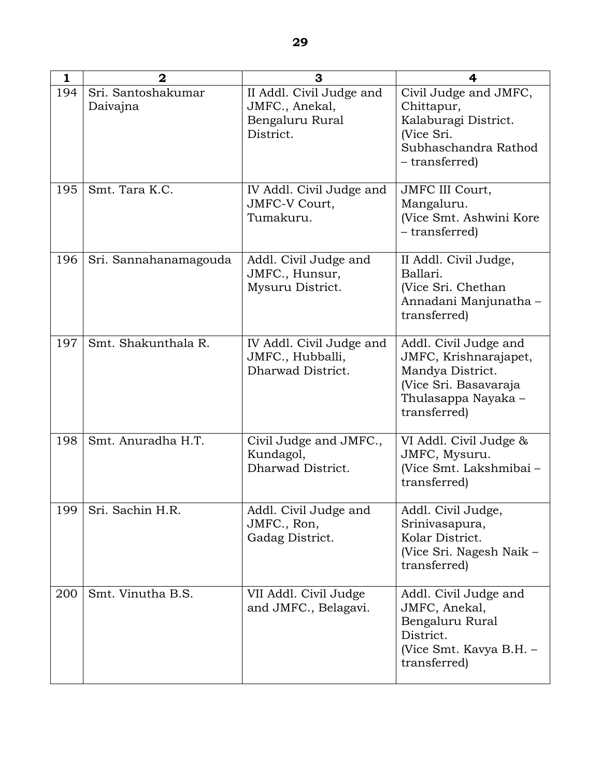| $\mathbf{1}$ | $\mathbf{z}$                   | 3                                                                          | 4                                                                                                                                  |
|--------------|--------------------------------|----------------------------------------------------------------------------|------------------------------------------------------------------------------------------------------------------------------------|
| 194          | Sri. Santoshakumar<br>Daivajna | II Addl. Civil Judge and<br>JMFC., Anekal,<br>Bengaluru Rural<br>District. | Civil Judge and JMFC,<br>Chittapur,<br>Kalaburagi District.<br>(Vice Sri.<br>Subhaschandra Rathod<br>- transferred)                |
| 195          | Smt. Tara K.C.                 | IV Addl. Civil Judge and<br>JMFC-V Court,<br>Tumakuru.                     | <b>JMFC III Court,</b><br>Mangaluru.<br>(Vice Smt. Ashwini Kore<br>- transferred)                                                  |
| 196          | Sri. Sannahanamagouda          | Addl. Civil Judge and<br>JMFC., Hunsur,<br>Mysuru District.                | II Addl. Civil Judge,<br>Ballari.<br>(Vice Sri. Chethan<br>Annadani Manjunatha -<br>transferred)                                   |
| 197          | Smt. Shakunthala R.            | IV Addl. Civil Judge and<br>JMFC., Hubballi,<br>Dharwad District.          | Addl. Civil Judge and<br>JMFC, Krishnarajapet,<br>Mandya District.<br>(Vice Sri. Basavaraja<br>Thulasappa Nayaka -<br>transferred) |
| 198          | Smt. Anuradha H.T.             | Civil Judge and JMFC.,<br>Kundagol,<br>Dharwad District.                   | VI Addl. Civil Judge &<br>JMFC, Mysuru.<br>(Vice Smt. Lakshmibai -<br>transferred)                                                 |
| 199          | Sri. Sachin H.R.               | Addl. Civil Judge and<br>JMFC., Ron,<br>Gadag District.                    | Addl. Civil Judge,<br>Srinivasapura,<br>Kolar District.<br>(Vice Sri. Nagesh Naik –<br>transferred)                                |
| 200          | Smt. Vinutha B.S.              | VII Addl. Civil Judge<br>and JMFC., Belagavi.                              | Addl. Civil Judge and<br>JMFC, Anekal,<br>Bengaluru Rural<br>District.<br>(Vice Smt. Kavya B.H. -<br>transferred)                  |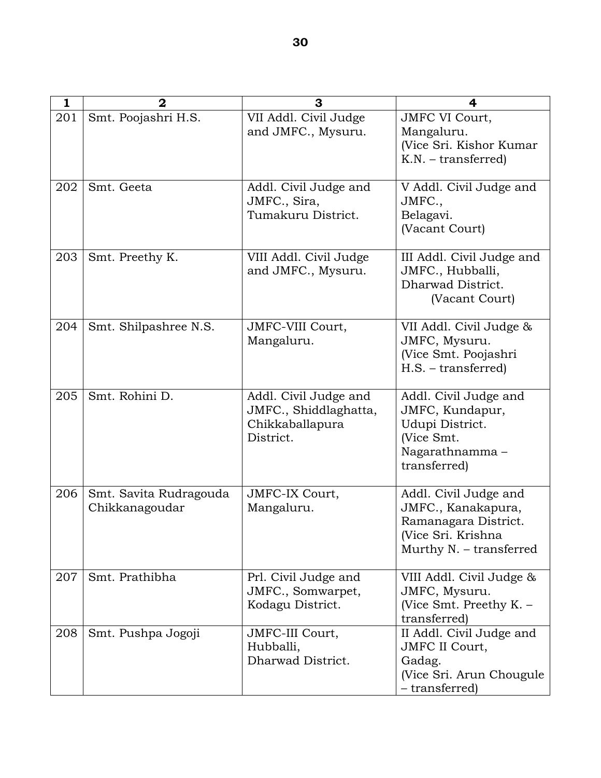| 1   | $\mathbf 2$                              | 3                                                                              | 4                                                                                                                    |
|-----|------------------------------------------|--------------------------------------------------------------------------------|----------------------------------------------------------------------------------------------------------------------|
| 201 | Smt. Poojashri H.S.                      | VII Addl. Civil Judge<br>and JMFC., Mysuru.                                    | <b>JMFC VI Court,</b><br>Mangaluru.<br>(Vice Sri. Kishor Kumar<br>K.N. - transferred)                                |
| 202 | Smt. Geeta                               | Addl. Civil Judge and<br>JMFC., Sira,<br>Tumakuru District.                    | V Addl. Civil Judge and<br>JMFC.,<br>Belagavi.<br>(Vacant Court)                                                     |
| 203 | Smt. Preethy K.                          | VIII Addl. Civil Judge<br>and JMFC., Mysuru.                                   | III Addl. Civil Judge and<br>JMFC., Hubballi,<br>Dharwad District.<br>(Vacant Court)                                 |
| 204 | Smt. Shilpashree N.S.                    | JMFC-VIII Court,<br>Mangaluru.                                                 | VII Addl. Civil Judge &<br>JMFC, Mysuru.<br>(Vice Smt. Poojashri<br>H.S. - transferred)                              |
| 205 | Smt. Rohini D.                           | Addl. Civil Judge and<br>JMFC., Shiddlaghatta,<br>Chikkaballapura<br>District. | Addl. Civil Judge and<br>JMFC, Kundapur,<br>Udupi District.<br>(Vice Smt.<br>Nagarathnamma –<br>transferred)         |
| 206 | Smt. Savita Rudragouda<br>Chikkanagoudar | JMFC-IX Court,<br>Mangaluru.                                                   | Addl. Civil Judge and<br>JMFC., Kanakapura,<br>Ramanagara District.<br>(Vice Sri. Krishna<br>Murthy N. - transferred |
| 207 | Smt. Prathibha                           | Prl. Civil Judge and<br>JMFC., Somwarpet,<br>Kodagu District.                  | VIII Addl. Civil Judge &<br>JMFC, Mysuru.<br>(Vice Smt. Preethy $K -$<br>transferred)                                |
| 208 | Smt. Pushpa Jogoji                       | JMFC-III Court,<br>Hubballi,<br>Dharwad District.                              | II Addl. Civil Judge and<br><b>JMFC II Court,</b><br>Gadag.<br>(Vice Sri. Arun Chougule<br>- transferred)            |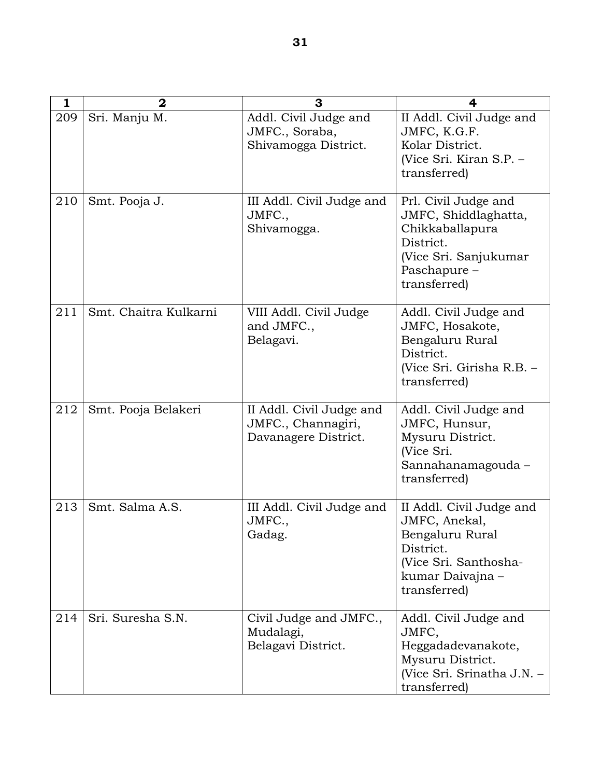| 1   | $\overline{2}$        | 3                                                                      | 4                                                                                                                                      |
|-----|-----------------------|------------------------------------------------------------------------|----------------------------------------------------------------------------------------------------------------------------------------|
| 209 | Sri. Manju M.         | Addl. Civil Judge and<br>JMFC., Soraba,<br>Shivamogga District.        | II Addl. Civil Judge and<br>JMFC, K.G.F.<br>Kolar District.<br>(Vice Sri. Kiran S.P. -<br>transferred)                                 |
| 210 | Smt. Pooja J.         | III Addl. Civil Judge and<br>JMFC.,<br>Shivamogga.                     | Prl. Civil Judge and<br>JMFC, Shiddlaghatta,<br>Chikkaballapura<br>District.<br>(Vice Sri. Sanjukumar<br>Paschapure -<br>transferred)  |
| 211 | Smt. Chaitra Kulkarni | VIII Addl. Civil Judge<br>and JMFC.,<br>Belagavi.                      | Addl. Civil Judge and<br>JMFC, Hosakote,<br>Bengaluru Rural<br>District.<br>(Vice Sri. Girisha R.B. -<br>transferred)                  |
| 212 | Smt. Pooja Belakeri   | II Addl. Civil Judge and<br>JMFC., Channagiri,<br>Davanagere District. | Addl. Civil Judge and<br>JMFC, Hunsur,<br>Mysuru District.<br>(Vice Sri.<br>Sannahanamagouda –<br>transferred)                         |
| 213 | Smt. Salma A.S.       | III Addl. Civil Judge and<br>JMFC.,<br>Gadag.                          | II Addl. Civil Judge and<br>JMFC, Anekal,<br>Bengaluru Rural<br>District.<br>(Vice Sri. Santhosha-<br>kumar Daivajna -<br>transferred) |
| 214 | Sri. Suresha S.N.     | Civil Judge and JMFC.,<br>Mudalagi,<br>Belagavi District.              | Addl. Civil Judge and<br>JMFC,<br>Heggadadevanakote,<br>Mysuru District.<br>(Vice Sri. Srinatha J.N. -<br>transferred)                 |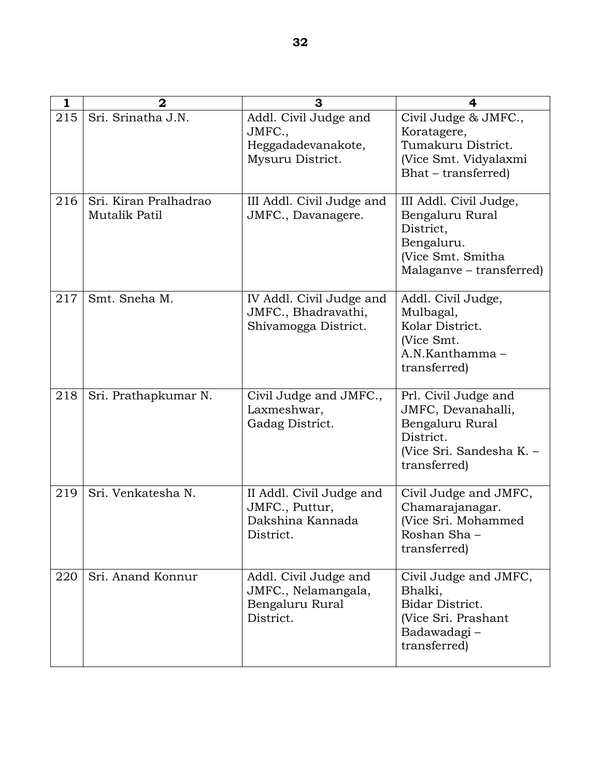| $\mathbf{1}$ | $\overline{2}$                         | 3                                                                            | 4                                                                                                                      |
|--------------|----------------------------------------|------------------------------------------------------------------------------|------------------------------------------------------------------------------------------------------------------------|
| 215          | Sri. Srinatha J.N.                     | Addl. Civil Judge and<br>JMFC.,<br>Heggadadevanakote,<br>Mysuru District.    | Civil Judge & JMFC.,<br>Koratagere,<br>Tumakuru District.<br>(Vice Smt. Vidyalaxmi<br>Bhat – transferred)              |
| 216          | Sri. Kiran Pralhadrao<br>Mutalik Patil | III Addl. Civil Judge and<br>JMFC., Davanagere.                              | III Addl. Civil Judge,<br>Bengaluru Rural<br>District,<br>Bengaluru.<br>(Vice Smt. Smitha<br>Malaganve – transferred)  |
| 217          | Smt. Sneha M.                          | IV Addl. Civil Judge and<br>JMFC., Bhadravathi,<br>Shivamogga District.      | Addl. Civil Judge,<br>Mulbagal,<br>Kolar District.<br>(Vice Smt.<br>A.N.Kanthamma-<br>transferred)                     |
| 218          | Sri. Prathapkumar N.                   | Civil Judge and JMFC.,<br>Laxmeshwar,<br>Gadag District.                     | Prl. Civil Judge and<br>JMFC, Devanahalli,<br>Bengaluru Rural<br>District.<br>(Vice Sri. Sandesha K. -<br>transferred) |
| 219          | Sri. Venkatesha N.                     | II Addl. Civil Judge and<br>JMFC., Puttur,<br>Dakshina Kannada<br>District.  | Civil Judge and JMFC,<br>Chamarajanagar.<br>(Vice Sri. Mohammed<br>Roshan Sha-<br>transferred)                         |
| 220          | Sri. Anand Konnur                      | Addl. Civil Judge and<br>JMFC., Nelamangala,<br>Bengaluru Rural<br>District. | Civil Judge and JMFC,<br>Bhalki,<br>Bidar District.<br>(Vice Sri. Prashant<br>Badawadagi-<br>transferred)              |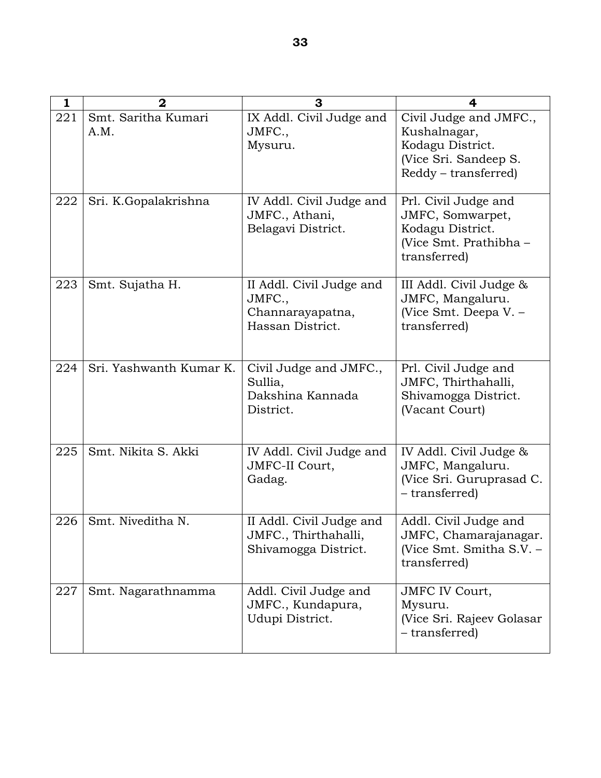| $\mathbf{1}$ | $\overline{2}$              | 3                                                                          | $\overline{\mathbf{4}}$                                                                                     |
|--------------|-----------------------------|----------------------------------------------------------------------------|-------------------------------------------------------------------------------------------------------------|
| 221          | Smt. Saritha Kumari<br>A.M. | IX Addl. Civil Judge and<br>JMFC.,<br>Mysuru.                              | Civil Judge and JMFC.,<br>Kushalnagar,<br>Kodagu District.<br>(Vice Sri. Sandeep S.<br>Reddy – transferred) |
| 222          | Sri. K.Gopalakrishna        | IV Addl. Civil Judge and<br>JMFC., Athani,<br>Belagavi District.           | Prl. Civil Judge and<br>JMFC, Somwarpet,<br>Kodagu District.<br>(Vice Smt. Prathibha -<br>transferred)      |
| 223          | Smt. Sujatha H.             | II Addl. Civil Judge and<br>JMFC.,<br>Channarayapatna,<br>Hassan District. | III Addl. Civil Judge &<br>JMFC, Mangaluru.<br>(Vice Smt. Deepa V. -<br>transferred)                        |
| 224          | Sri. Yashwanth Kumar K.     | Civil Judge and JMFC.,<br>Sullia,<br>Dakshina Kannada<br>District.         | Prl. Civil Judge and<br>JMFC, Thirthahalli,<br>Shivamogga District.<br>(Vacant Court)                       |
| 225          | Smt. Nikita S. Akki         | IV Addl. Civil Judge and<br>JMFC-II Court,<br>Gadag.                       | IV Addl. Civil Judge &<br>JMFC, Mangaluru.<br>(Vice Sri. Guruprasad C.<br>- transferred)                    |
| 226          | Smt. Niveditha N.           | II Addl. Civil Judge and<br>JMFC., Thirthahalli,<br>Shivamogga District.   | Addl. Civil Judge and<br>JMFC, Chamarajanagar.<br>(Vice Smt. Smitha S.V. –<br>transferred)                  |
| 227          | Smt. Nagarathnamma          | Addl. Civil Judge and<br>JMFC., Kundapura,<br>Udupi District.              | <b>JMFC IV Court,</b><br>Mysuru.<br>(Vice Sri. Rajeev Golasar<br>- transferred)                             |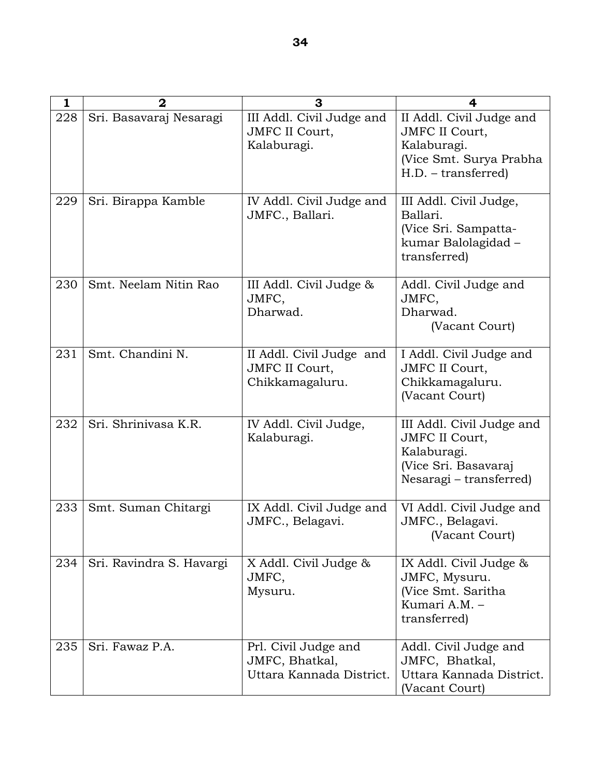| 1   | $\mathbf{2}$             | 3                                                                    | 4                                                                                                                    |
|-----|--------------------------|----------------------------------------------------------------------|----------------------------------------------------------------------------------------------------------------------|
| 228 | Sri. Basavaraj Nesaragi  | III Addl. Civil Judge and<br><b>JMFC II Court,</b><br>Kalaburagi.    | II Addl. Civil Judge and<br><b>JMFC II Court,</b><br>Kalaburagi.<br>(Vice Smt. Surya Prabha<br>H.D. - transferred)   |
| 229 | Sri. Birappa Kamble      | IV Addl. Civil Judge and<br>JMFC., Ballari.                          | III Addl. Civil Judge,<br>Ballari.<br>(Vice Sri. Sampatta-<br>kumar Balolagidad -<br>transferred)                    |
| 230 | Smt. Neelam Nitin Rao    | III Addl. Civil Judge &<br>JMFC,<br>Dharwad.                         | Addl. Civil Judge and<br>JMFC,<br>Dharwad.<br>(Vacant Court)                                                         |
| 231 | Smt. Chandini N.         | II Addl. Civil Judge and<br><b>JMFC II Court,</b><br>Chikkamagaluru. | I Addl. Civil Judge and<br><b>JMFC II Court,</b><br>Chikkamagaluru.<br>(Vacant Court)                                |
| 232 | Sri. Shrinivasa K.R.     | IV Addl. Civil Judge,<br>Kalaburagi.                                 | III Addl. Civil Judge and<br><b>JMFC II Court,</b><br>Kalaburagi.<br>(Vice Sri. Basavaraj<br>Nesaragi – transferred) |
| 233 | Smt. Suman Chitargi      | IX Addl. Civil Judge and<br>JMFC., Belagavi.                         | VI Addl. Civil Judge and<br>JMFC., Belagavi.<br>(Vacant Court)                                                       |
| 234 | Sri. Ravindra S. Havargi | X Addl. Civil Judge &<br>JMFC,<br>Mysuru.                            | IX Addl. Civil Judge &<br>JMFC, Mysuru.<br>(Vice Smt. Saritha<br>Kumari A.M. -<br>transferred)                       |
| 235 | Sri. Fawaz P.A.          | Prl. Civil Judge and<br>JMFC, Bhatkal,<br>Uttara Kannada District.   | Addl. Civil Judge and<br>JMFC, Bhatkal,<br>Uttara Kannada District.<br>(Vacant Court)                                |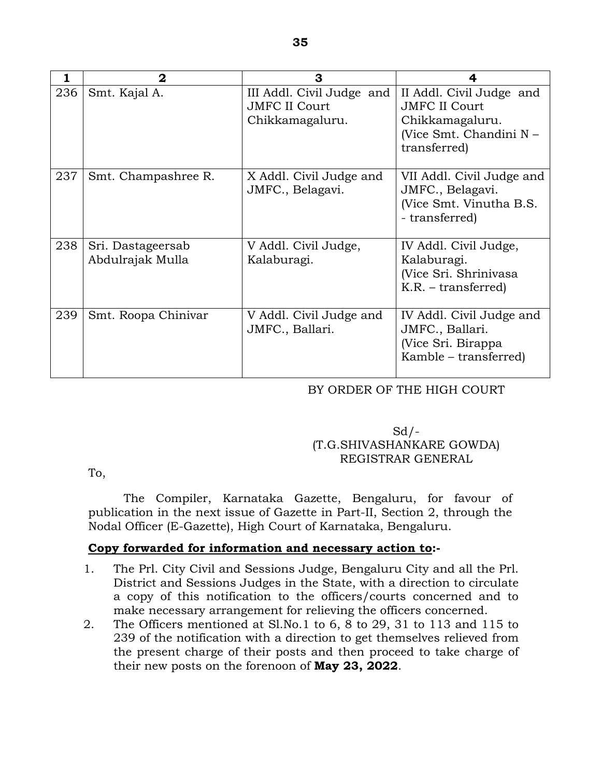| 1   | $\mathbf{2}$                          | 3                                                                    |                                                                                                                |
|-----|---------------------------------------|----------------------------------------------------------------------|----------------------------------------------------------------------------------------------------------------|
| 236 | Smt. Kajal A.                         | III Addl. Civil Judge and<br><b>JMFC II Court</b><br>Chikkamagaluru. | II Addl. Civil Judge and<br><b>JMFC II Court</b><br>Chikkamagaluru.<br>(Vice Smt. Chandini N -<br>transferred) |
| 237 | Smt. Champashree R.                   | X Addl. Civil Judge and<br>JMFC., Belagavi.                          | VII Addl. Civil Judge and<br>JMFC., Belagavi.<br>(Vice Smt. Vinutha B.S.)<br>- transferred)                    |
| 238 | Sri. Dastageersab<br>Abdulrajak Mulla | V Addl. Civil Judge,<br>Kalaburagi.                                  | IV Addl. Civil Judge,<br>Kalaburagi.<br>(Vice Sri. Shrinivasa<br>$K.R. - transferred)$                         |
| 239 | Smt. Roopa Chinivar                   | V Addl. Civil Judge and<br>JMFC., Ballari.                           | IV Addl. Civil Judge and<br>JMFC., Ballari.<br>(Vice Sri. Birappa<br>Kamble - transferred)                     |

### BY ORDER OF THE HIGH COURT

# $Sd$  /-(T.G.SHIVASHANKARE GOWDA) REGISTRAR GENERAL

To,

 The Compiler, Karnataka Gazette, Bengaluru, for favour of publication in the next issue of Gazette in Part-II, Section 2, through the Nodal Officer (E-Gazette), High Court of Karnataka, Bengaluru.

### **Copy forwarded for information and necessary action to:-**

- 1. The Prl. City Civil and Sessions Judge, Bengaluru City and all the Prl. District and Sessions Judges in the State, with a direction to circulate a copy of this notification to the officers/courts concerned and to make necessary arrangement for relieving the officers concerned.
- 2. The Officers mentioned at Sl.No.1 to 6, 8 to 29, 31 to 113 and 115 to 239 of the notification with a direction to get themselves relieved from the present charge of their posts and then proceed to take charge of their new posts on the forenoon of **May 23, 2022**.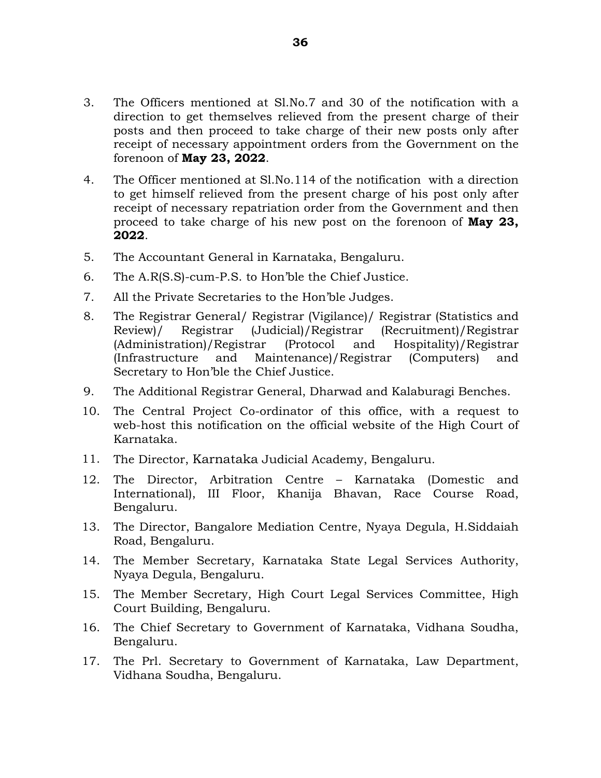- 3. The Officers mentioned at Sl.No.7 and 30 of the notification with a direction to get themselves relieved from the present charge of their posts and then proceed to take charge of their new posts only after receipt of necessary appointment orders from the Government on the forenoon of **May 23, 2022**.
- 4. The Officer mentioned at Sl.No.114 of the notification with a direction to get himself relieved from the present charge of his post only after receipt of necessary repatriation order from the Government and then proceed to take charge of his new post on the forenoon of **May 23, 2022**.
- 5. The Accountant General in Karnataka, Bengaluru.
- 6. The A.R(S.S)-cum-P.S. to Hon'ble the Chief Justice.
- 7. All the Private Secretaries to the Hon'ble Judges.
- 8. The Registrar General/ Registrar (Vigilance)/ Registrar (Statistics and Review)/ Registrar (Judicial)/Registrar (Recruitment)/Registrar (Administration)/Registrar (Protocol and Hospitality)/Registrar (Infrastructure and Maintenance)/Registrar (Computers) and Secretary to Hon'ble the Chief Justice.
- 9. The Additional Registrar General, Dharwad and Kalaburagi Benches.
- 10. The Central Project Co-ordinator of this office, with a request to web-host this notification on the official website of the High Court of Karnataka.
- 11. The Director, Karnataka Judicial Academy, Bengaluru.
- 12. The Director, Arbitration Centre Karnataka (Domestic and International), III Floor, Khanija Bhavan, Race Course Road, Bengaluru.
- 13. The Director, Bangalore Mediation Centre, Nyaya Degula, H.Siddaiah Road, Bengaluru.
- 14. The Member Secretary, Karnataka State Legal Services Authority, Nyaya Degula, Bengaluru.
- 15. The Member Secretary, High Court Legal Services Committee, High Court Building, Bengaluru.
- 16. The Chief Secretary to Government of Karnataka, Vidhana Soudha, Bengaluru.
- 17. The Prl. Secretary to Government of Karnataka, Law Department, Vidhana Soudha, Bengaluru.